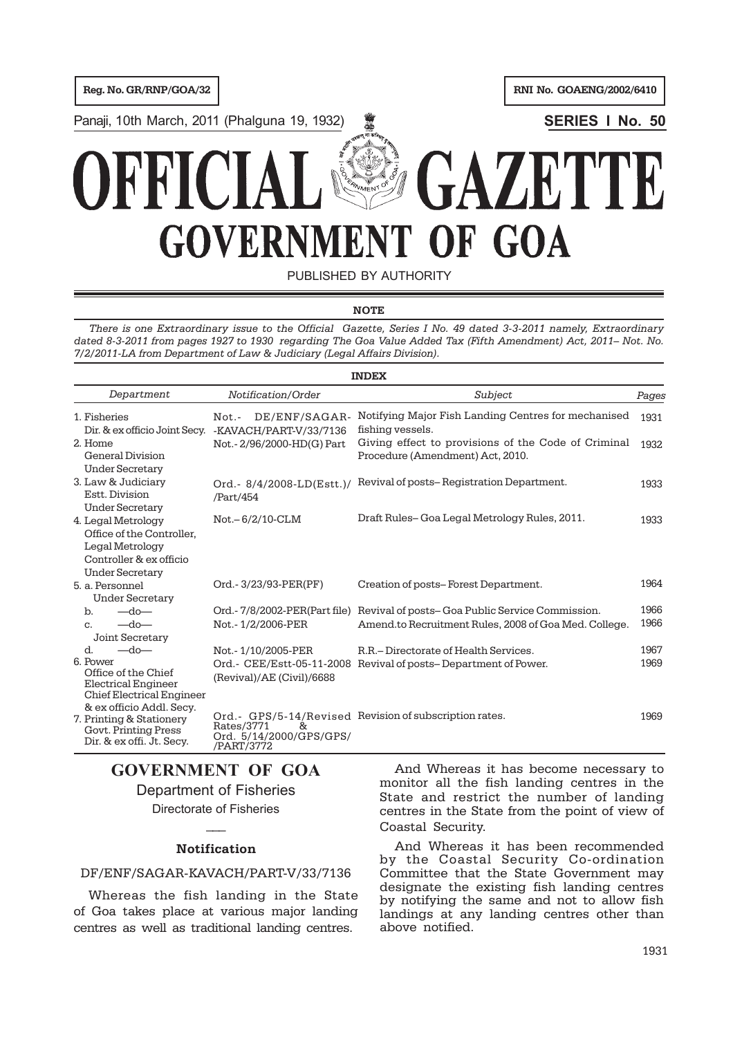Panaji, 10th March, 2011 (Phalguna 19, 1932) **SERIES I No. 50**

# **VAU GOVERNME!** OF GOA IT

PUBLISHED BY AUTHORITY

### **NOTE**

*There is one Extraordinary issue to the Official Gazette, Series I No. 49 dated 3-3-2011 namely, Extraordinary dated 8-3-2011 from pages 1927 to 1930 regarding The Goa Value Added Tax (Fifth Amendment) Act, 2011– Not. No. 7/2/2011-LA from Department of Law & Judiciary (Legal Affairs Division).*

|                                                                                                                                                   |                                                                                    | <b>INDEX</b>                                                                                                                          |              |
|---------------------------------------------------------------------------------------------------------------------------------------------------|------------------------------------------------------------------------------------|---------------------------------------------------------------------------------------------------------------------------------------|--------------|
| Department                                                                                                                                        | Notification/Order                                                                 | Subject                                                                                                                               | Pages        |
| 1. Fisheries<br>Dir. & ex officio Joint Secy.                                                                                                     | DE/ENF/SAGAR-<br>$Not. -$<br>-KAVACH/PART-V/33/7136                                | Notifying Major Fish Landing Centres for mechanised<br>fishing vessels.                                                               | 1931         |
| 2. Home<br>General Division<br><b>Under Secretary</b>                                                                                             | Not. - 2/96/2000-HD(G) Part                                                        | Giving effect to provisions of the Code of Criminal<br>Procedure (Amendment) Act, 2010.                                               | 1932         |
| 3. Law & Judiciary<br>Estt. Division<br><b>Under Secretary</b>                                                                                    | Ord.- 8/4/2008-LD(Estt.)/<br>/Part/454                                             | Revival of posts-Registration Department.                                                                                             | 1933         |
| 4. Legal Metrology<br>Office of the Controller.<br>Legal Metrology<br>Controller & ex officio<br><b>Under Secretary</b>                           | $Not - 6/2/10 - CLM$                                                               | Draft Rules– Goa Legal Metrology Rules, 2011.                                                                                         | 1933         |
| 5. a. Personnel<br><b>Under Secretary</b>                                                                                                         | Ord. - 3/23/93-PER(PF)                                                             | Creation of posts–Forest Department.                                                                                                  | 1964         |
| $-do-$<br>$\mathbf b$ .<br>$-do-$<br>C <sub>1</sub><br><b>Joint Secretary</b>                                                                     | Not. - 1/2/2006-PER                                                                | Ord.-7/8/2002-PER(Part file) Revival of posts-Goa Public Service Commission.<br>Amend.to Recruitment Rules, 2008 of Goa Med. College. | 1966<br>1966 |
| $-$ do<br>$\mathbf d$ .<br>6. Power<br>Office of the Chief<br><b>Electrical Engineer</b><br>Chief Electrical Engineer<br>& ex officio Addl. Secy. | Not. - 1/10/2005-PER<br>Ord.- CEE/Estt-05-11-2008<br>(Revival)/AE (Civil)/6688     | R.R. – Directorate of Health Services.<br>Revival of posts-Department of Power.                                                       | 1967<br>1969 |
| 7. Printing & Stationery<br>Govt. Printing Press<br>Dir. & ex offi. Jt. Secy.                                                                     | Rates/3771<br>$\mathcal{R}_{\mathcal{T}}$<br>Ord. 5/14/2000/GPS/GPS/<br>/PART/3772 | Ord.- GPS/5-14/Revised Revision of subscription rates.                                                                                | 1969         |

# **GOVERNMENT OF GOA** Department of Fisheries Directorate of Fisheries

 $\overline{\phantom{a}}$ 

### **Notification**

# DF/ENF/SAGAR-KAVACH/PART-V/33/7136

Whereas the fish landing in the State of Goa takes place at various major landing centres as well as traditional landing centres.

And Whereas it has become necessary to monitor all the fish landing centres in the State and restrict the number of landing centres in the State from the point of view of Coastal Security.

And Whereas it has been recommended by the Coastal Security Co-ordination Committee that the State Government may designate the existing fish landing centres by notifying the same and not to allow fish landings at any landing centres other than above notified.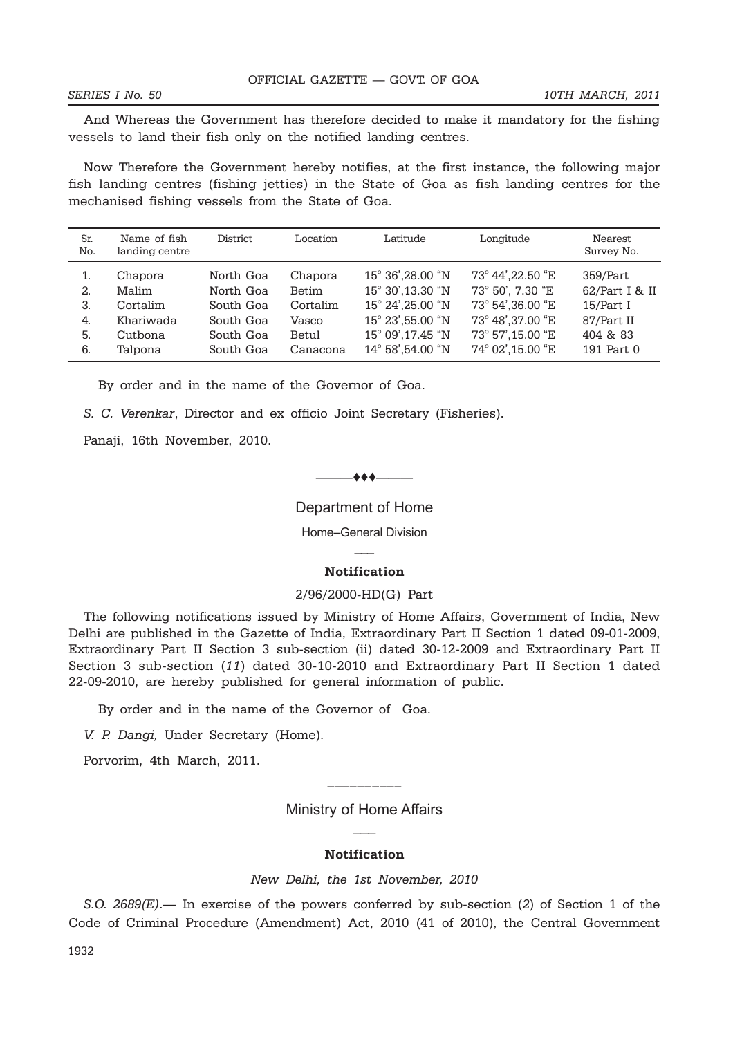And Whereas the Government has therefore decided to make it mandatory for the fishing vessels to land their fish only on the notified landing centres.

Now Therefore the Government hereby notifies, at the first instance, the following major fish landing centres (fishing jetties) in the State of Goa as fish landing centres for the mechanised fishing vessels from the State of Goa.

| Sr.<br>No. | Name of fish<br>landing centre | District  | Location | Latitude          | Longitude         | Nearest<br>Survey No. |
|------------|--------------------------------|-----------|----------|-------------------|-------------------|-----------------------|
| 1.         | Chapora                        | North Goa | Chapora  | 15° 36', 28.00 "N | 73° 44', 22.50 "E | 359/Part              |
| 2.         | Malim                          | North Goa | Betim    | 15° 30',13.30 "N  | 73° 50', 7.30 "E  | 62/Part I & II        |
| 3.         | Cortalim                       | South Goa | Cortalim | 15° 24', 25.00 "N | 73° 54',36.00 "E  | 15/Part I             |
| 4.         | Khariwada                      | South Goa | Vasco    | 15° 23',55.00 "N  | 73° 48', 37.00 "E | 87/Part II            |
| 5.         | Cutbona                        | South Goa | Betul    | 15° 09', 17.45 "N | 73° 57',15.00 "E  | 404 & 83              |
| 6.         | Talpona                        | South Goa | Canacona | 14° 58',54.00 "N  | 74° 02',15.00 "E  | 191 Part 0            |

By order and in the name of the Governor of Goa.

*S. C. Verenkar*, Director and ex officio Joint Secretary (Fisheries).

Panaji, 16th November, 2010.

### $-$  + + +  $-$

Department of Home

Home–General Division  $\overline{\phantom{a}}$ 

#### **Notification**

#### 2/96/2000-HD(G) Part

The following notifications issued by Ministry of Home Affairs, Government of India, New Delhi are published in the Gazette of India, Extraordinary Part II Section 1 dated 09-01-2009, Extraordinary Part II Section 3 sub-section (ii) dated 30-12-2009 and Extraordinary Part II Section 3 sub-section (*11*) dated 30-10-2010 and Extraordinary Part II Section 1 dated 22-09-2010, are hereby published for general information of public.

By order and in the name of the Governor of Goa.

*V. P. Dangi,* Under Secretary (Home).

Porvorim, 4th March, 2011.

Ministry of Home Affairs  $\overline{\phantom{a}}$ 

\_\_\_\_\_\_\_\_\_\_

#### **Notification**

*New Delhi, the 1st November, 2010*

*S.O. 2689(E)*.— In exercise of the powers conferred by sub-section (*2*) of Section 1 of the Code of Criminal Procedure (Amendment) Act, 2010 (41 of 2010), the Central Government

1932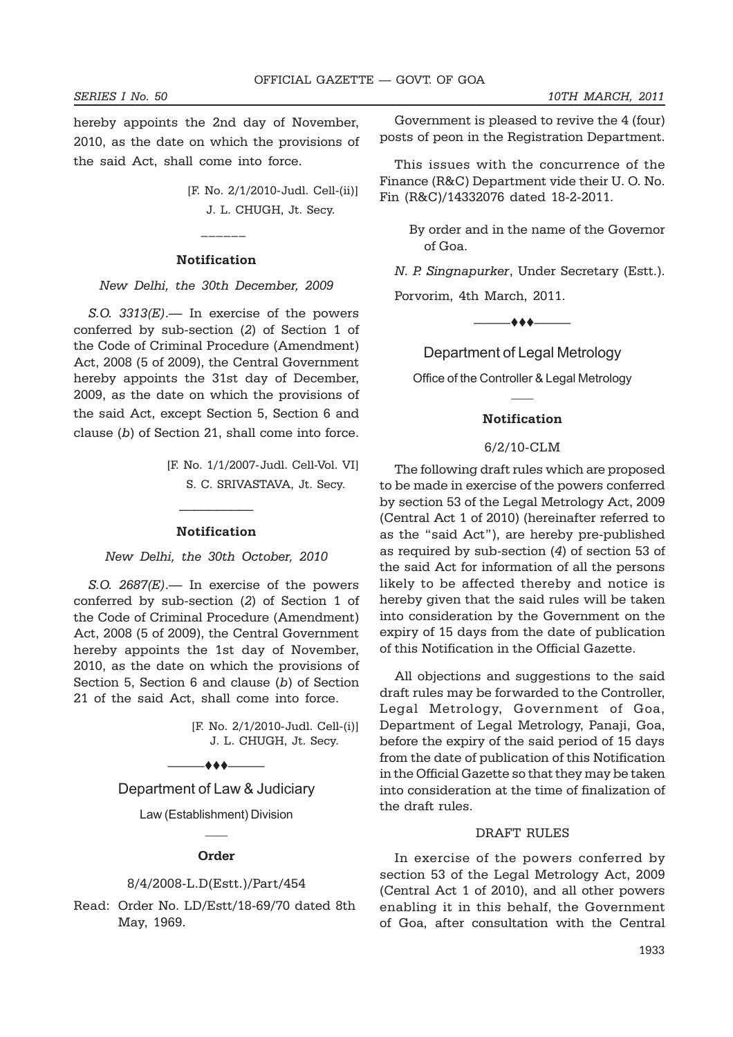hereby appoints the 2nd day of November, 2010, as the date on which the provisions of the said Act, shall come into force.

> [F. No. 2/1/2010-Judl. Cell-(ii)] J. L. CHUGH, Jt. Secy.

#### **Notification**

 $\frac{1}{2}$ 

*New Delhi, the 30th December, 2009*

*S.O. 3313(E)*.— In exercise of the powers conferred by sub-section (*2*) of Section 1 of the Code of Criminal Procedure (Amendment) Act, 2008 (5 of 2009), the Central Government hereby appoints the 31st day of December, 2009, as the date on which the provisions of the said Act, except Section 5, Section 6 and clause (*b*) of Section 21, shall come into force.

> [F. No. 1/1/2007-Judl. Cell-Vol. VI] S. C. SRIVASTAVA, Jt. Secy.

#### **Notification**

 $\mathcal{L}_\text{max}$ 

*New Delhi, the 30th October, 2010*

*S.O. 2687(E)*.— In exercise of the powers conferred by sub-section (*2*) of Section 1 of the Code of Criminal Procedure (Amendment) Act, 2008 (5 of 2009), the Central Government hereby appoints the 1st day of November, 2010, as the date on which the provisions of Section 5, Section 6 and clause (*b*) of Section 21 of the said Act, shall come into force.

> [F. No. 2/1/2010-Judl. Cell-(i)] J. L. CHUGH, Jt. Secy.

Department of Law & Judiciary

 $-$ 

Law (Establishment) Division  $\overline{\phantom{a}}$ 

#### **Order**

#### 8/4/2008-L.D(Estt.)/Part/454

Read: Order No. LD/Estt/18-69/70 dated 8th May, 1969.

Government is pleased to revive the 4 (four) posts of peon in the Registration Department.

This issues with the concurrence of the Finance (R&C) Department vide their U. O. No. Fin (R&C)/14332076 dated 18-2-2011.

> By order and in the name of the Governor of Goa.

*N. P. Singnapurker*, Under Secretary (Estt.).

Porvorim, 4th March, 2011.

 $\bullet\bullet\bullet$ 

Department of Legal Metrology

Office of the Controller & Legal Metrology  $\overline{\phantom{a}}$ 

#### **Notification**

#### 6/2/10-CLM

The following draft rules which are proposed to be made in exercise of the powers conferred by section 53 of the Legal Metrology Act, 2009 (Central Act 1 of 2010) (hereinafter referred to as the "said Act"), are hereby pre-published as required by sub-section (*4*) of section 53 of the said Act for information of all the persons likely to be affected thereby and notice is hereby given that the said rules will be taken into consideration by the Government on the expiry of 15 days from the date of publication of this Notification in the Official Gazette.

All objections and suggestions to the said draft rules may be forwarded to the Controller, Legal Metrology, Government of Goa, Department of Legal Metrology, Panaji, Goa, before the expiry of the said period of 15 days from the date of publication of this Notification in the Official Gazette so that they may be taken into consideration at the time of finalization of the draft rules.

#### DRAFT RULES

In exercise of the powers conferred by section 53 of the Legal Metrology Act, 2009 (Central Act 1 of 2010), and all other powers enabling it in this behalf, the Government of Goa, after consultation with the Central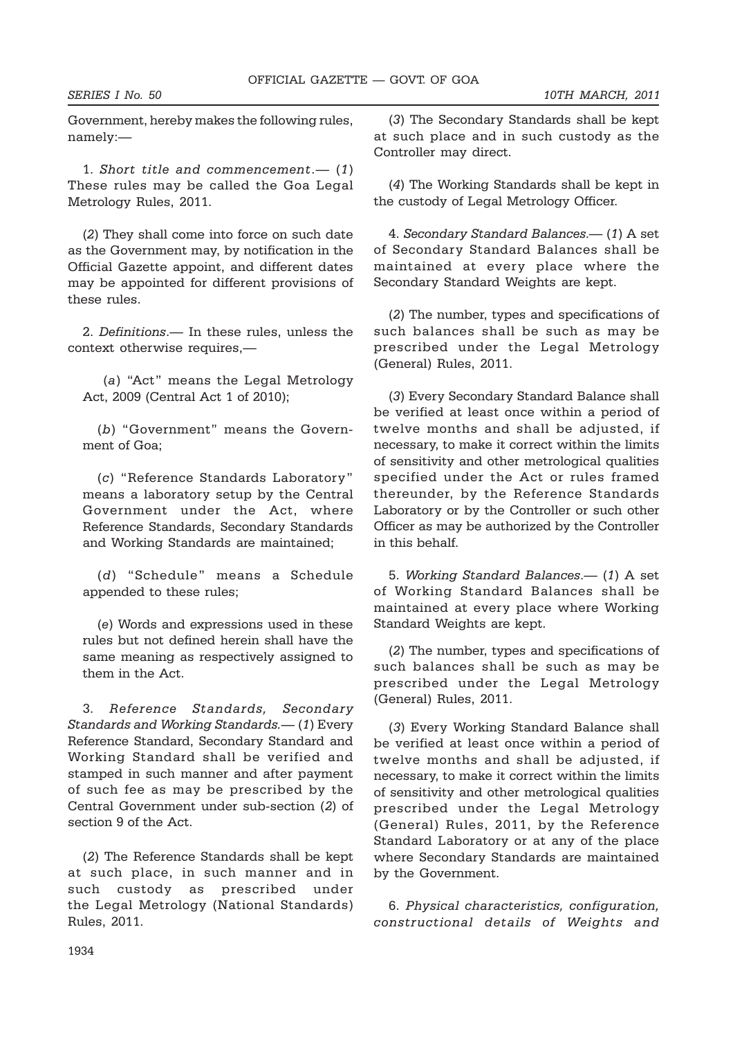Government, hereby makes the following rules, namely:—

1. *Short title and commencement*.— (*1*) These rules may be called the Goa Legal Metrology Rules, 2011.

(*2*) They shall come into force on such date as the Government may, by notification in the Official Gazette appoint, and different dates may be appointed for different provisions of these rules.

2. *Definitions*.— In these rules, unless the context otherwise requires,—

 (*a*) "Act" means the Legal Metrology Act, 2009 (Central Act 1 of 2010);

(*b*) "Government" means the Government of Goa;

(*c*) "Reference Standards Laboratory" means a laboratory setup by the Central Government under the Act, where Reference Standards, Secondary Standards and Working Standards are maintained;

(*d*) "Schedule" means a Schedule appended to these rules;

(*e*) Words and expressions used in these rules but not defined herein shall have the same meaning as respectively assigned to them in the Act.

3. *Reference Standards, Secondary Standards and Working Standards.—* (*1*) Every Reference Standard, Secondary Standard and Working Standard shall be verified and stamped in such manner and after payment of such fee as may be prescribed by the Central Government under sub-section (*2*) of section 9 of the Act.

(*2*) The Reference Standards shall be kept at such place, in such manner and in such custody as prescribed under the Legal Metrology (National Standards) Rules, 2011.

(*3*) The Secondary Standards shall be kept at such place and in such custody as the Controller may direct.

(*4*) The Working Standards shall be kept in the custody of Legal Metrology Officer.

4. *Secondary Standard Balances*.— (*1*) A set of Secondary Standard Balances shall be maintained at every place where the Secondary Standard Weights are kept.

(*2*) The number, types and specifications of such balances shall be such as may be prescribed under the Legal Metrology (General) Rules, 2011.

(*3*) Every Secondary Standard Balance shall be verified at least once within a period of twelve months and shall be adjusted, if necessary, to make it correct within the limits of sensitivity and other metrological qualities specified under the Act or rules framed thereunder, by the Reference Standards Laboratory or by the Controller or such other Officer as may be authorized by the Controller in this behalf.

5. *Working Standard Balances*.— (*1*) A set of Working Standard Balances shall be maintained at every place where Working Standard Weights are kept.

(*2*) The number, types and specifications of such balances shall be such as may be prescribed under the Legal Metrology (General) Rules, 2011.

(*3*) Every Working Standard Balance shall be verified at least once within a period of twelve months and shall be adjusted, if necessary, to make it correct within the limits of sensitivity and other metrological qualities prescribed under the Legal Metrology (General) Rules, 2011, by the Reference Standard Laboratory or at any of the place where Secondary Standards are maintained by the Government.

6. *Physical characteristics, configuration, constructional details of Weights and*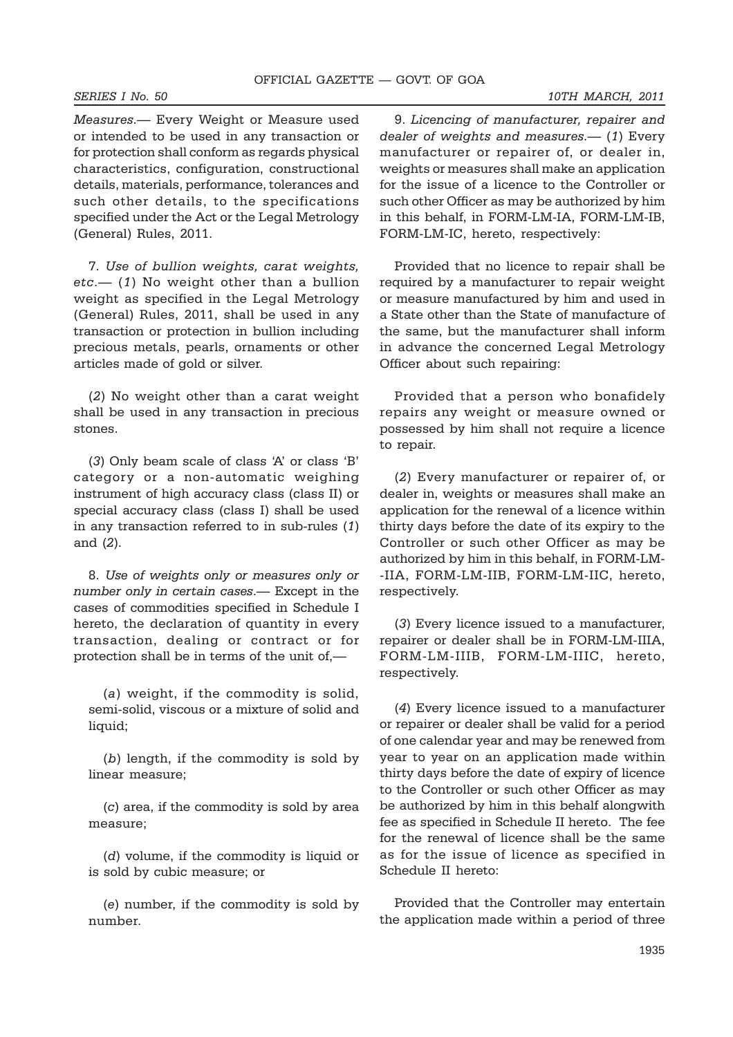*Measures*.— Every Weight or Measure used or intended to be used in any transaction or for protection shall conform as regards physical characteristics, configuration, constructional details, materials, performance, tolerances and such other details, to the specifications specified under the Act or the Legal Metrology (General) Rules, 2011.

7. *Use of bullion weights, carat weights, etc*.— (*1*) No weight other than a bullion weight as specified in the Legal Metrology (General) Rules, 2011, shall be used in any transaction or protection in bullion including precious metals, pearls, ornaments or other articles made of gold or silver.

(*2*) No weight other than a carat weight shall be used in any transaction in precious stones.

(*3*) Only beam scale of class 'A' or class 'B' category or a non-automatic weighing instrument of high accuracy class (class II) or special accuracy class (class I) shall be used in any transaction referred to in sub-rules (*1*) and (*2*).

8. *Use of weights only or measures only or number only in certain cases*.— Except in the cases of commodities specified in Schedule I hereto, the declaration of quantity in every transaction, dealing or contract or for protection shall be in terms of the unit of,—

(*a*) weight, if the commodity is solid, semi-solid, viscous or a mixture of solid and liquid;

(*b*) length, if the commodity is sold by linear measure;

(*c*) area, if the commodity is sold by area measure;

(*d*) volume, if the commodity is liquid or is sold by cubic measure; or

(*e*) number, if the commodity is sold by number.

9. *Licencing of manufacturer, repairer and dealer of weights and measures*.— (*1*) Every manufacturer or repairer of, or dealer in, weights or measures shall make an application for the issue of a licence to the Controller or such other Officer as may be authorized by him in this behalf, in FORM-LM-IA, FORM-LM-IB, FORM-LM-IC, hereto, respectively:

Provided that no licence to repair shall be required by a manufacturer to repair weight or measure manufactured by him and used in a State other than the State of manufacture of the same, but the manufacturer shall inform in advance the concerned Legal Metrology Officer about such repairing:

Provided that a person who bonafidely repairs any weight or measure owned or possessed by him shall not require a licence to repair.

(*2*) Every manufacturer or repairer of, or dealer in, weights or measures shall make an application for the renewal of a licence within thirty days before the date of its expiry to the Controller or such other Officer as may be authorized by him in this behalf, in FORM-LM- -IIA, FORM-LM-IIB, FORM-LM-IIC, hereto, respectively.

(*3*) Every licence issued to a manufacturer, repairer or dealer shall be in FORM-LM-IIIA, FORM-LM-IIIB, FORM-LM-IIIC, hereto, respectively.

(*4*) Every licence issued to a manufacturer or repairer or dealer shall be valid for a period of one calendar year and may be renewed from year to year on an application made within thirty days before the date of expiry of licence to the Controller or such other Officer as may be authorized by him in this behalf alongwith fee as specified in Schedule II hereto. The fee for the renewal of licence shall be the same as for the issue of licence as specified in Schedule II hereto:

Provided that the Controller may entertain the application made within a period of three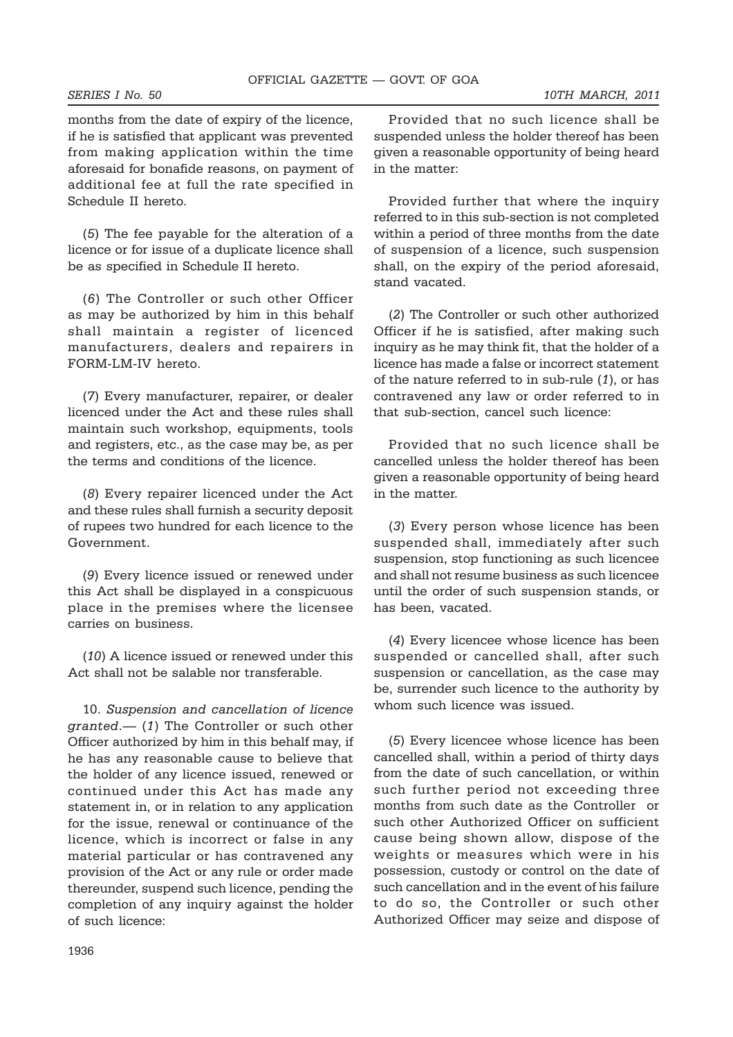months from the date of expiry of the licence, if he is satisfied that applicant was prevented from making application within the time aforesaid for bonafide reasons, on payment of additional fee at full the rate specified in Schedule II hereto.

(*5*) The fee payable for the alteration of a licence or for issue of a duplicate licence shall be as specified in Schedule II hereto.

(*6*) The Controller or such other Officer as may be authorized by him in this behalf shall maintain a register of licenced manufacturers, dealers and repairers in FORM-LM-IV hereto.

(*7*) Every manufacturer, repairer, or dealer licenced under the Act and these rules shall maintain such workshop, equipments, tools and registers, etc., as the case may be, as per the terms and conditions of the licence.

(*8*) Every repairer licenced under the Act and these rules shall furnish a security deposit of rupees two hundred for each licence to the Government.

(*9*) Every licence issued or renewed under this Act shall be displayed in a conspicuous place in the premises where the licensee carries on business.

(*10*) A licence issued or renewed under this Act shall not be salable nor transferable.

10. *Suspension and cancellation of licence granted*.— (*1*) The Controller or such other Officer authorized by him in this behalf may, if he has any reasonable cause to believe that the holder of any licence issued, renewed or continued under this Act has made any statement in, or in relation to any application for the issue, renewal or continuance of the licence, which is incorrect or false in any material particular or has contravened any provision of the Act or any rule or order made thereunder, suspend such licence, pending the completion of any inquiry against the holder of such licence:

Provided that no such licence shall be suspended unless the holder thereof has been given a reasonable opportunity of being heard in the matter:

Provided further that where the inquiry referred to in this sub-section is not completed within a period of three months from the date of suspension of a licence, such suspension shall, on the expiry of the period aforesaid, stand vacated.

(*2*) The Controller or such other authorized Officer if he is satisfied, after making such inquiry as he may think fit, that the holder of a licence has made a false or incorrect statement of the nature referred to in sub-rule (*1*), or has contravened any law or order referred to in that sub-section, cancel such licence:

Provided that no such licence shall be cancelled unless the holder thereof has been given a reasonable opportunity of being heard in the matter.

(*3*) Every person whose licence has been suspended shall, immediately after such suspension, stop functioning as such licencee and shall not resume business as such licencee until the order of such suspension stands, or has been, vacated.

(*4*) Every licencee whose licence has been suspended or cancelled shall, after such suspension or cancellation, as the case may be, surrender such licence to the authority by whom such licence was issued.

(*5*) Every licencee whose licence has been cancelled shall, within a period of thirty days from the date of such cancellation, or within such further period not exceeding three months from such date as the Controller or such other Authorized Officer on sufficient cause being shown allow, dispose of the weights or measures which were in his possession, custody or control on the date of such cancellation and in the event of his failure to do so, the Controller or such other Authorized Officer may seize and dispose of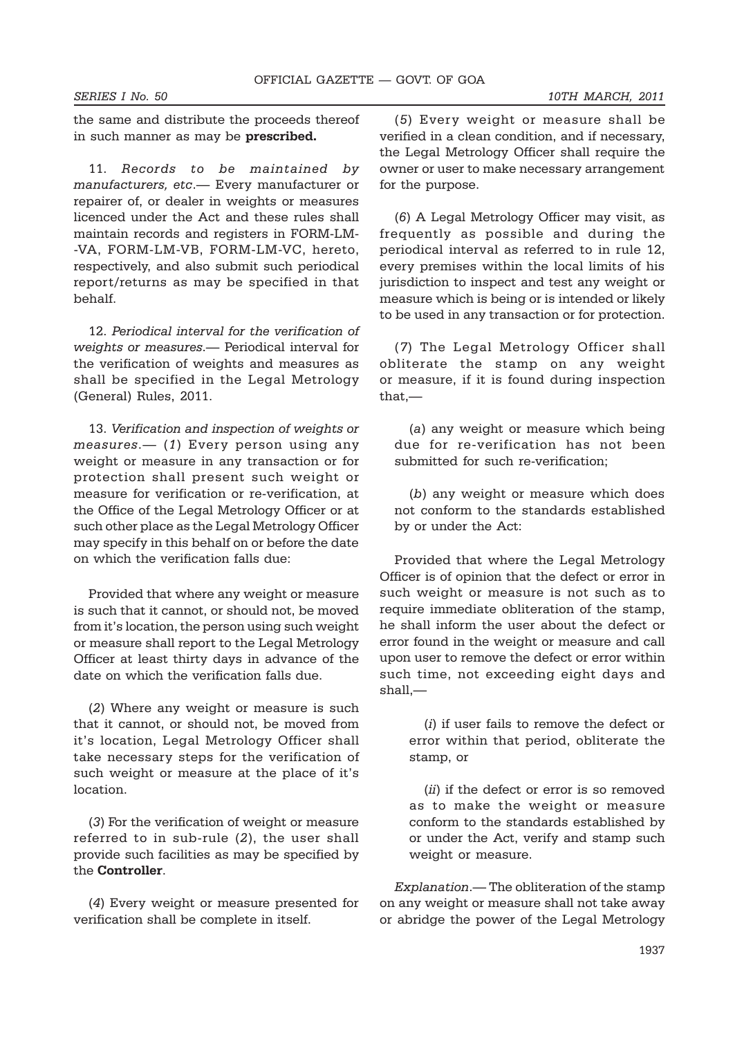the same and distribute the proceeds thereof in such manner as may be **prescribed.**

11. *Records to be maintained by manufacturers, etc*.— Every manufacturer or repairer of, or dealer in weights or measures licenced under the Act and these rules shall maintain records and registers in FORM-LM- -VA, FORM-LM-VB, FORM-LM-VC, hereto, respectively, and also submit such periodical report/returns as may be specified in that behalf.

12. *Periodical interval for the verification of weights or measures*.— Periodical interval for the verification of weights and measures as shall be specified in the Legal Metrology (General) Rules, 2011.

13. *Verification and inspection of weights or measures*.— (*1*) Every person using any weight or measure in any transaction or for protection shall present such weight or measure for verification or re-verification, at the Office of the Legal Metrology Officer or at such other place as the Legal Metrology Officer may specify in this behalf on or before the date on which the verification falls due:

Provided that where any weight or measure is such that it cannot, or should not, be moved from it's location, the person using such weight or measure shall report to the Legal Metrology Officer at least thirty days in advance of the date on which the verification falls due.

(*2*) Where any weight or measure is such that it cannot, or should not, be moved from it's location, Legal Metrology Officer shall take necessary steps for the verification of such weight or measure at the place of it's location.

(*3*) For the verification of weight or measure referred to in sub-rule (*2*), the user shall provide such facilities as may be specified by the **Controller**.

(*4*) Every weight or measure presented for verification shall be complete in itself.

(*5*) Every weight or measure shall be verified in a clean condition, and if necessary, the Legal Metrology Officer shall require the owner or user to make necessary arrangement for the purpose.

(*6*) A Legal Metrology Officer may visit, as frequently as possible and during the periodical interval as referred to in rule 12, every premises within the local limits of his jurisdiction to inspect and test any weight or measure which is being or is intended or likely to be used in any transaction or for protection.

(*7*) The Legal Metrology Officer shall obliterate the stamp on any weight or measure, if it is found during inspection that,—

(*a*) any weight or measure which being due for re-verification has not been submitted for such re-verification;

(*b*) any weight or measure which does not conform to the standards established by or under the Act:

Provided that where the Legal Metrology Officer is of opinion that the defect or error in such weight or measure is not such as to require immediate obliteration of the stamp, he shall inform the user about the defect or error found in the weight or measure and call upon user to remove the defect or error within such time, not exceeding eight days and shall,—

(*i*) if user fails to remove the defect or error within that period, obliterate the stamp, or

(*ii*) if the defect or error is so removed as to make the weight or measure conform to the standards established by or under the Act, verify and stamp such weight or measure.

*Explanation*.— The obliteration of the stamp on any weight or measure shall not take away or abridge the power of the Legal Metrology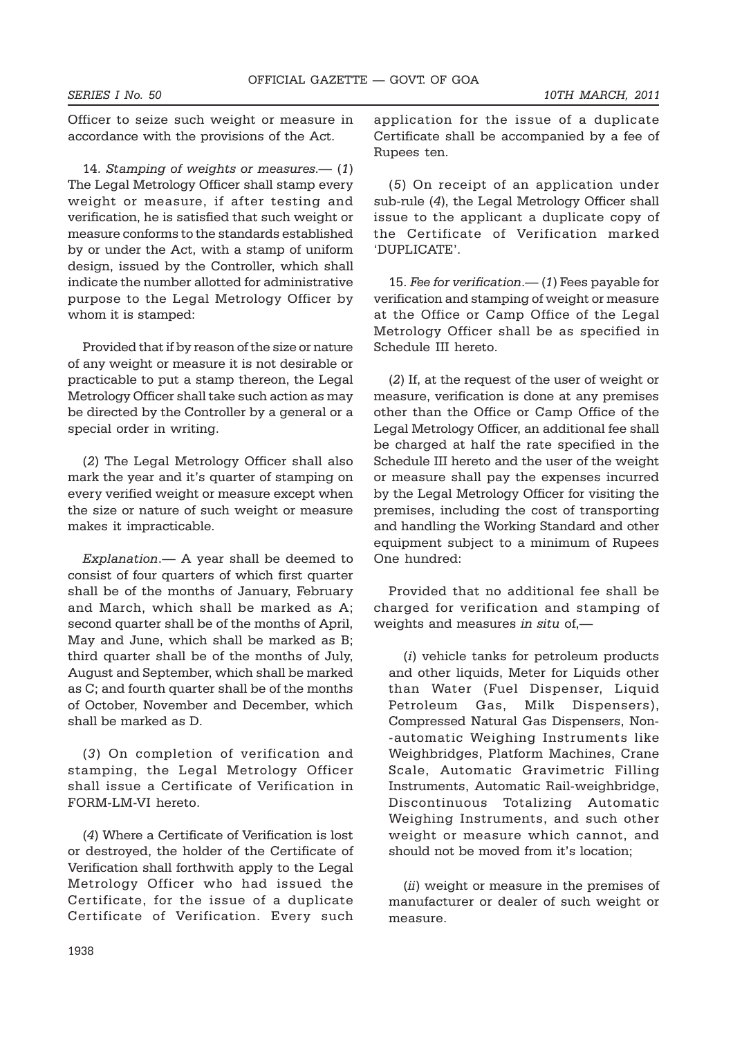Officer to seize such weight or measure in accordance with the provisions of the Act.

14. *Stamping of weights or measures*.— (*1*) The Legal Metrology Officer shall stamp every weight or measure, if after testing and verification, he is satisfied that such weight or measure conforms to the standards established by or under the Act, with a stamp of uniform design, issued by the Controller, which shall indicate the number allotted for administrative purpose to the Legal Metrology Officer by whom it is stamped:

Provided that if by reason of the size or nature of any weight or measure it is not desirable or practicable to put a stamp thereon, the Legal Metrology Officer shall take such action as may be directed by the Controller by a general or a special order in writing.

(*2*) The Legal Metrology Officer shall also mark the year and it's quarter of stamping on every verified weight or measure except when the size or nature of such weight or measure makes it impracticable.

*Explanation*.— A year shall be deemed to consist of four quarters of which first quarter shall be of the months of January, February and March, which shall be marked as A; second quarter shall be of the months of April, May and June, which shall be marked as B; third quarter shall be of the months of July, August and September, which shall be marked as C; and fourth quarter shall be of the months of October, November and December, which shall be marked as D.

(*3*) On completion of verification and stamping, the Legal Metrology Officer shall issue a Certificate of Verification in FORM-LM-VI hereto.

(*4*) Where a Certificate of Verification is lost or destroyed, the holder of the Certificate of Verification shall forthwith apply to the Legal Metrology Officer who had issued the Certificate, for the issue of a duplicate Certificate of Verification. Every such application for the issue of a duplicate Certificate shall be accompanied by a fee of Rupees ten.

(*5*) On receipt of an application under sub-rule (*4*), the Legal Metrology Officer shall issue to the applicant a duplicate copy of the Certificate of Verification marked 'DUPLICATE'.

15. *Fee for verification*.— (*1*) Fees payable for verification and stamping of weight or measure at the Office or Camp Office of the Legal Metrology Officer shall be as specified in Schedule III hereto.

(*2*) If, at the request of the user of weight or measure, verification is done at any premises other than the Office or Camp Office of the Legal Metrology Officer, an additional fee shall be charged at half the rate specified in the Schedule III hereto and the user of the weight or measure shall pay the expenses incurred by the Legal Metrology Officer for visiting the premises, including the cost of transporting and handling the Working Standard and other equipment subject to a minimum of Rupees One hundred:

Provided that no additional fee shall be charged for verification and stamping of weights and measures *in situ* of,—

(*i*) vehicle tanks for petroleum products and other liquids, Meter for Liquids other than Water (Fuel Dispenser, Liquid Petroleum Gas, Milk Dispensers), Compressed Natural Gas Dispensers, Non- -automatic Weighing Instruments like Weighbridges, Platform Machines, Crane Scale, Automatic Gravimetric Filling Instruments, Automatic Rail-weighbridge, Discontinuous Totalizing Automatic Weighing Instruments, and such other weight or measure which cannot, and should not be moved from it's location;

(*ii*) weight or measure in the premises of manufacturer or dealer of such weight or measure.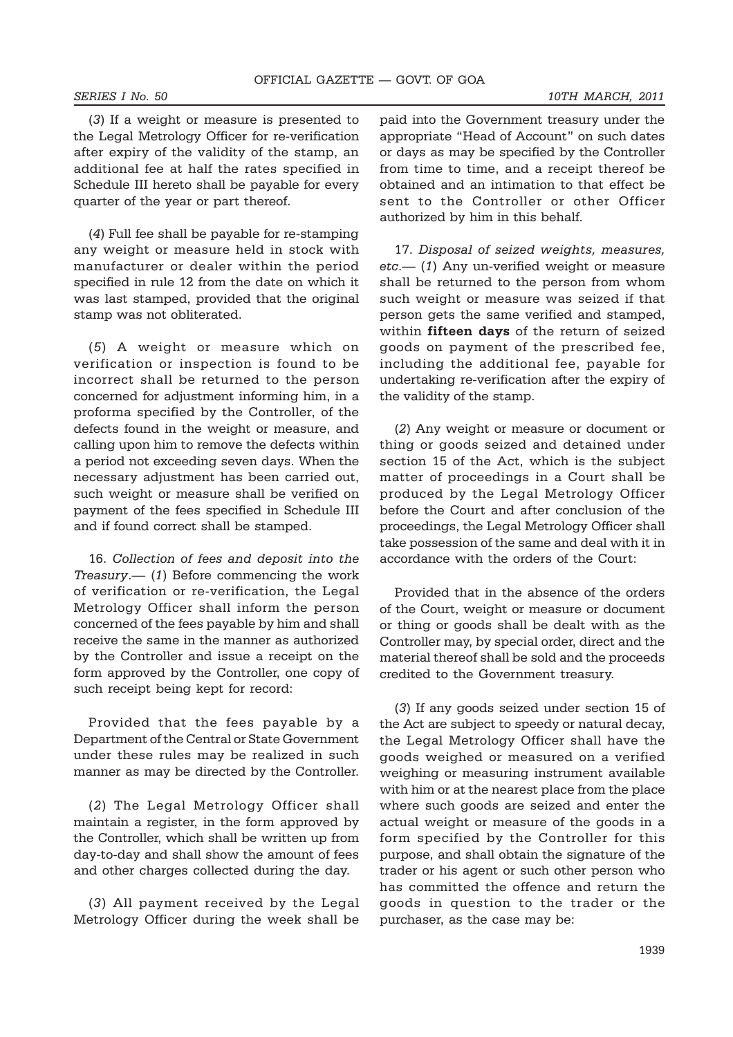(*3*) If a weight or measure is presented to the Legal Metrology Officer for re-verification after expiry of the validity of the stamp, an additional fee at half the rates specified in Schedule III hereto shall be payable for every quarter of the year or part thereof.

(*4*) Full fee shall be payable for re-stamping any weight or measure held in stock with manufacturer or dealer within the period specified in rule 12 from the date on which it was last stamped, provided that the original stamp was not obliterated.

(*5*) A weight or measure which on verification or inspection is found to be incorrect shall be returned to the person concerned for adjustment informing him, in a proforma specified by the Controller, of the defects found in the weight or measure, and calling upon him to remove the defects within a period not exceeding seven days. When the necessary adjustment has been carried out, such weight or measure shall be verified on payment of the fees specified in Schedule III and if found correct shall be stamped.

16. *Collection of fees and deposit into the Treasury*.— (*1*) Before commencing the work of verification or re-verification, the Legal Metrology Officer shall inform the person concerned of the fees payable by him and shall receive the same in the manner as authorized by the Controller and issue a receipt on the form approved by the Controller, one copy of such receipt being kept for record:

Provided that the fees payable by a Department of the Central or State Government under these rules may be realized in such manner as may be directed by the Controller.

(*2*) The Legal Metrology Officer shall maintain a register, in the form approved by the Controller, which shall be written up from day-to-day and shall show the amount of fees and other charges collected during the day.

(*3*) All payment received by the Legal Metrology Officer during the week shall be

paid into the Government treasury under the appropriate "Head of Account" on such dates or days as may be specified by the Controller from time to time, and a receipt thereof be obtained and an intimation to that effect be sent to the Controller or other Officer authorized by him in this behalf.

17. *Disposal of seized weights, measures, etc*.— (*1*) Any un-verified weight or measure shall be returned to the person from whom such weight or measure was seized if that person gets the same verified and stamped, within **fifteen days** of the return of seized goods on payment of the prescribed fee, including the additional fee, payable for undertaking re-verification after the expiry of the validity of the stamp.

(*2*) Any weight or measure or document or thing or goods seized and detained under section 15 of the Act, which is the subject matter of proceedings in a Court shall be produced by the Legal Metrology Officer before the Court and after conclusion of the proceedings, the Legal Metrology Officer shall take possession of the same and deal with it in accordance with the orders of the Court:

Provided that in the absence of the orders of the Court, weight or measure or document or thing or goods shall be dealt with as the Controller may, by special order, direct and the material thereof shall be sold and the proceeds credited to the Government treasury.

(*3*) If any goods seized under section 15 of the Act are subject to speedy or natural decay, the Legal Metrology Officer shall have the goods weighed or measured on a verified weighing or measuring instrument available with him or at the nearest place from the place where such goods are seized and enter the actual weight or measure of the goods in a form specified by the Controller for this purpose, and shall obtain the signature of the trader or his agent or such other person who has committed the offence and return the goods in question to the trader or the purchaser, as the case may be: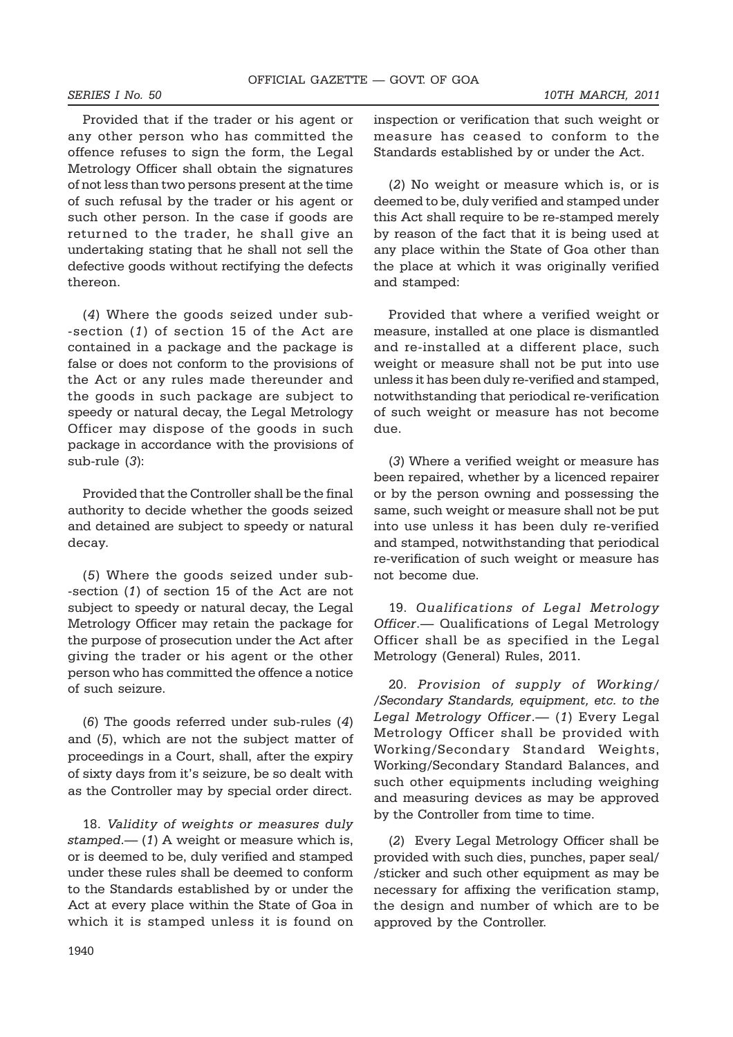Provided that if the trader or his agent or any other person who has committed the offence refuses to sign the form, the Legal Metrology Officer shall obtain the signatures of not less than two persons present at the time of such refusal by the trader or his agent or such other person. In the case if goods are returned to the trader, he shall give an undertaking stating that he shall not sell the defective goods without rectifying the defects thereon.

(*4*) Where the goods seized under sub- -section (*1*) of section 15 of the Act are contained in a package and the package is false or does not conform to the provisions of the Act or any rules made thereunder and the goods in such package are subject to speedy or natural decay, the Legal Metrology Officer may dispose of the goods in such package in accordance with the provisions of sub-rule (*3*):

Provided that the Controller shall be the final authority to decide whether the goods seized and detained are subject to speedy or natural decay.

(*5*) Where the goods seized under sub- -section (*1*) of section 15 of the Act are not subject to speedy or natural decay, the Legal Metrology Officer may retain the package for the purpose of prosecution under the Act after giving the trader or his agent or the other person who has committed the offence a notice of such seizure.

(*6*) The goods referred under sub-rules (*4*) and (*5*), which are not the subject matter of proceedings in a Court, shall, after the expiry of sixty days from it's seizure, be so dealt with as the Controller may by special order direct.

18. *Validity of weights or measures duly stamped*.— (*1*) A weight or measure which is, or is deemed to be, duly verified and stamped under these rules shall be deemed to conform to the Standards established by or under the Act at every place within the State of Goa in which it is stamped unless it is found on

inspection or verification that such weight or measure has ceased to conform to the Standards established by or under the Act.

(*2*) No weight or measure which is, or is deemed to be, duly verified and stamped under this Act shall require to be re-stamped merely by reason of the fact that it is being used at any place within the State of Goa other than the place at which it was originally verified and stamped:

Provided that where a verified weight or measure, installed at one place is dismantled and re-installed at a different place, such weight or measure shall not be put into use unless it has been duly re-verified and stamped, notwithstanding that periodical re-verification of such weight or measure has not become due.

(*3*) Where a verified weight or measure has been repaired, whether by a licenced repairer or by the person owning and possessing the same, such weight or measure shall not be put into use unless it has been duly re-verified and stamped, notwithstanding that periodical re-verification of such weight or measure has not become due.

19. *Qualifications of Legal Metrology Officer*.— Qualifications of Legal Metrology Officer shall be as specified in the Legal Metrology (General) Rules, 2011.

20. *Provision of supply of Working/ /Secondary Standards, equipment, etc. to the Legal Metrology Officer*.— (*1*) Every Legal Metrology Officer shall be provided with Working/Secondary Standard Weights, Working/Secondary Standard Balances, and such other equipments including weighing and measuring devices as may be approved by the Controller from time to time.

(*2*) Every Legal Metrology Officer shall be provided with such dies, punches, paper seal/ /sticker and such other equipment as may be necessary for affixing the verification stamp, the design and number of which are to be approved by the Controller.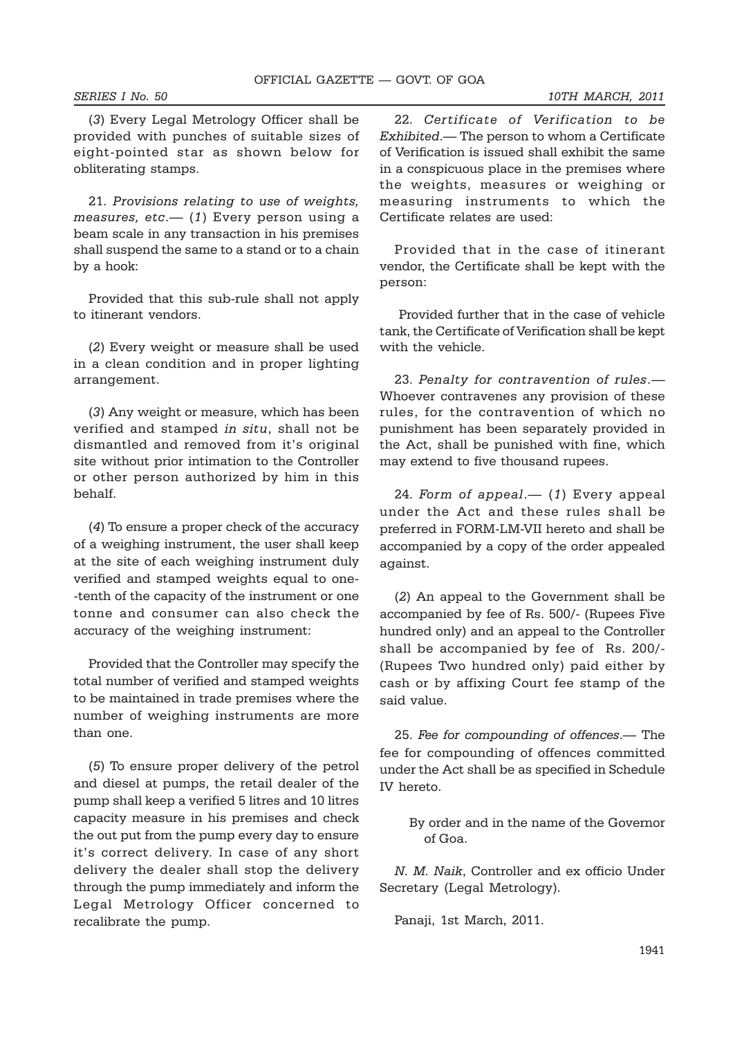(*3*) Every Legal Metrology Officer shall be provided with punches of suitable sizes of eight-pointed star as shown below for obliterating stamps.

21. *Provisions relating to use of weights, measures, etc*.— (*1*) Every person using a beam scale in any transaction in his premises shall suspend the same to a stand or to a chain by a hook:

Provided that this sub-rule shall not apply to itinerant vendors.

(*2*) Every weight or measure shall be used in a clean condition and in proper lighting arrangement.

(*3*) Any weight or measure, which has been verified and stamped *in situ*, shall not be dismantled and removed from it's original site without prior intimation to the Controller or other person authorized by him in this behalf.

(*4*) To ensure a proper check of the accuracy of a weighing instrument, the user shall keep at the site of each weighing instrument duly verified and stamped weights equal to one- -tenth of the capacity of the instrument or one tonne and consumer can also check the accuracy of the weighing instrument:

Provided that the Controller may specify the total number of verified and stamped weights to be maintained in trade premises where the number of weighing instruments are more than one.

(*5*) To ensure proper delivery of the petrol and diesel at pumps, the retail dealer of the pump shall keep a verified 5 litres and 10 litres capacity measure in his premises and check the out put from the pump every day to ensure it's correct delivery. In case of any short delivery the dealer shall stop the delivery through the pump immediately and inform the Legal Metrology Officer concerned to recalibrate the pump.

22. *Certificate of Verification to be Exhibited*.— The person to whom a Certificate of Verification is issued shall exhibit the same in a conspicuous place in the premises where the weights, measures or weighing or measuring instruments to which the Certificate relates are used:

Provided that in the case of itinerant vendor, the Certificate shall be kept with the person:

 Provided further that in the case of vehicle tank, the Certificate of Verification shall be kept with the vehicle.

23. *Penalty for contravention of rules*.— Whoever contravenes any provision of these rules, for the contravention of which no punishment has been separately provided in the Act, shall be punished with fine, which may extend to five thousand rupees.

24. *Form of appeal*.— (*1*) Every appeal under the Act and these rules shall be preferred in FORM-LM-VII hereto and shall be accompanied by a copy of the order appealed against.

(*2*) An appeal to the Government shall be accompanied by fee of Rs. 500/- (Rupees Five hundred only) and an appeal to the Controller shall be accompanied by fee of Rs. 200/- (Rupees Two hundred only) paid either by cash or by affixing Court fee stamp of the said value.

25. *Fee for compounding of offences*.— The fee for compounding of offences committed under the Act shall be as specified in Schedule IV hereto.

> By order and in the name of the Governor of Goa.

*N. M. Naik*, Controller and ex officio Under Secretary (Legal Metrology).

Panaji, 1st March, 2011.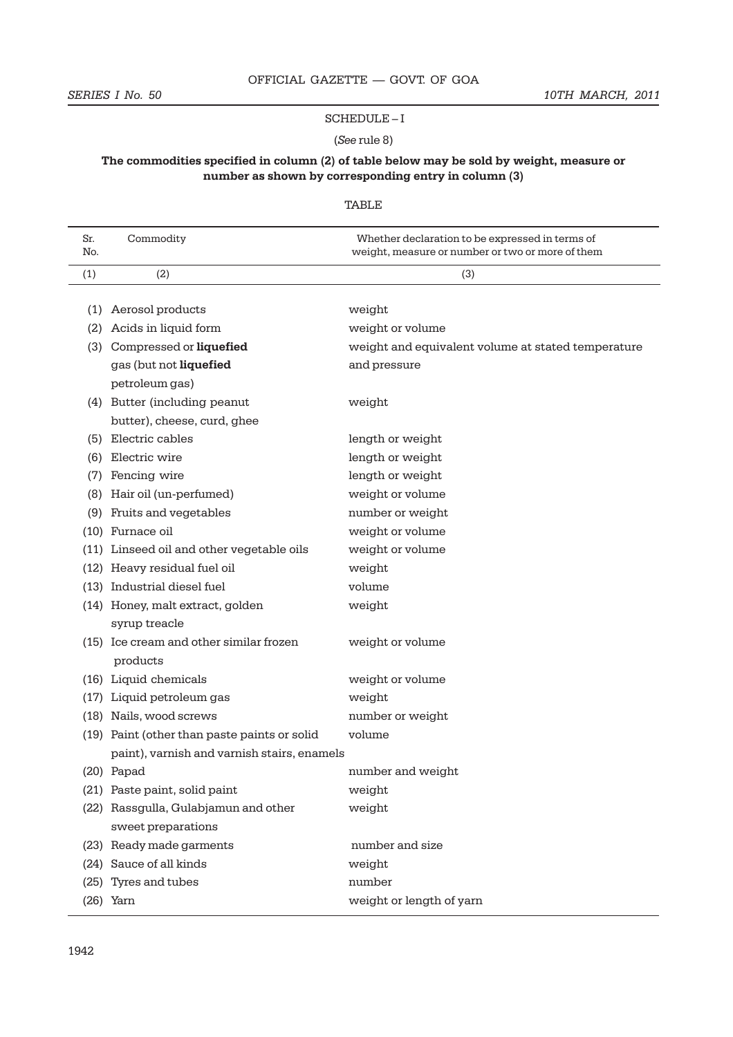#### SCHEDULE – I

#### (*See* rule 8)

# **The commodities specified in column (2) of table below may be sold by weight, measure or number as shown by corresponding entry in column (3)**

# TABLE

| Sr.<br>No. | Commodity                                           | Whether declaration to be expressed in terms of<br>weight, measure or number or two or more of them |
|------------|-----------------------------------------------------|-----------------------------------------------------------------------------------------------------|
| (1)        | (2)                                                 | (3)                                                                                                 |
| (1)        | Aerosol products                                    | weight                                                                                              |
| (2)        | Acids in liquid form                                | weight or volume                                                                                    |
|            | (3) Compressed or liquefied                         | weight and equivalent volume at stated temperature                                                  |
|            | gas (but not liquefied                              | and pressure                                                                                        |
|            | petroleum gas)                                      |                                                                                                     |
|            | (4) Butter (including peanut                        | weight                                                                                              |
|            | butter), cheese, curd, ghee                         |                                                                                                     |
| (5)        | Electric cables                                     | length or weight                                                                                    |
| (6)        | Electric wire                                       | length or weight                                                                                    |
| (7)        | Fencing wire                                        | length or weight                                                                                    |
| (8)        | Hair oil (un-perfumed)                              | weight or volume                                                                                    |
| (9)        | Fruits and vegetables                               | number or weight                                                                                    |
|            | (10) Furnace oil                                    | weight or volume                                                                                    |
|            | (11) Linseed oil and other vegetable oils           | weight or volume                                                                                    |
|            | (12) Heavy residual fuel oil                        | weight                                                                                              |
|            | (13) Industrial diesel fuel                         | volume                                                                                              |
|            | (14) Honey, malt extract, golden                    | weight                                                                                              |
|            | syrup treacle                                       |                                                                                                     |
|            | (15) Ice cream and other similar frozen<br>products | weight or volume                                                                                    |
|            | (16) Liquid chemicals                               | weight or volume                                                                                    |
|            | (17) Liquid petroleum gas                           | weight                                                                                              |
|            | (18) Nails, wood screws                             | number or weight                                                                                    |
|            | (19) Paint (other than paste paints or solid        | volume                                                                                              |
|            | paint), varnish and varnish stairs, enamels         |                                                                                                     |
|            | $(20)$ Papad                                        | number and weight                                                                                   |
|            | (21) Paste paint, solid paint                       | weight                                                                                              |
|            | (22) Rassgulla, Gulabjamun and other                | weight                                                                                              |
|            | sweet preparations                                  |                                                                                                     |
|            | (23) Ready made garments                            | number and size                                                                                     |
|            | (24) Sauce of all kinds                             | weight                                                                                              |
| (25)       | Tyres and tubes                                     | number                                                                                              |
|            | $(26)$ Yarn                                         | weight or length of yarn                                                                            |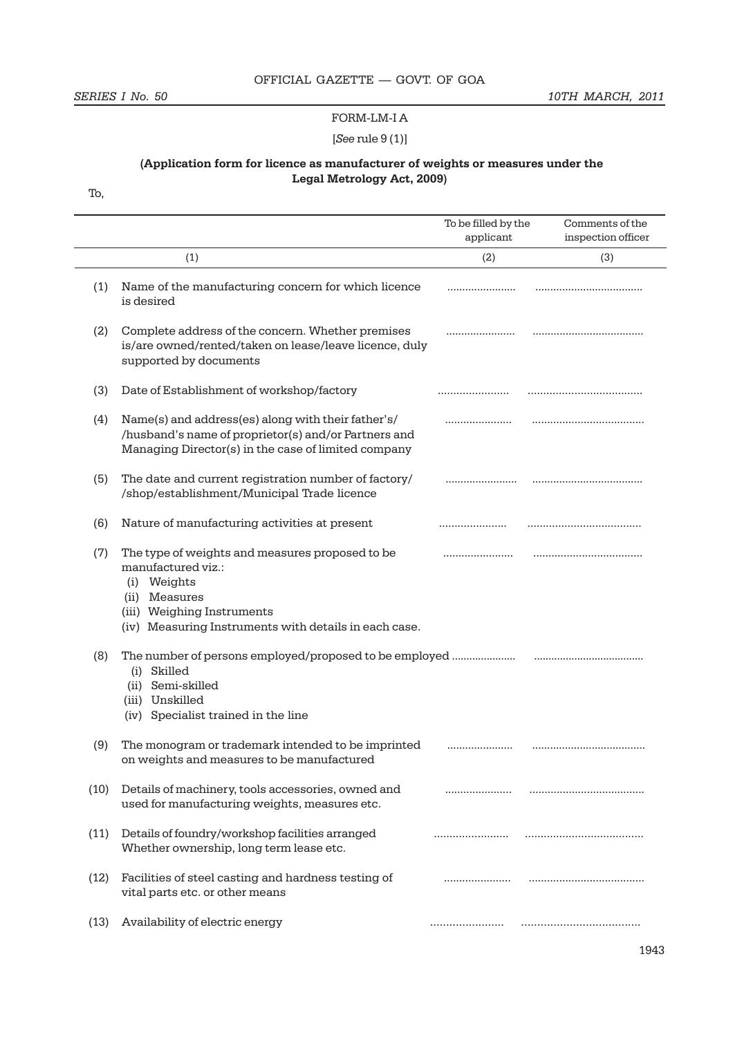#### FORM-LM-I A

# [*See* rule 9 (1)]

# **(Application form for licence as manufacturer of weights or measures under the Legal Metrology Act, 2009)**

To,

|      |                                                                                                                                                                                              | To be filled by the<br>applicant | Comments of the<br>inspection officer |
|------|----------------------------------------------------------------------------------------------------------------------------------------------------------------------------------------------|----------------------------------|---------------------------------------|
|      | (1)                                                                                                                                                                                          | (2)                              | (3)                                   |
| (1)  | Name of the manufacturing concern for which licence<br>is desired                                                                                                                            |                                  |                                       |
| (2)  | Complete address of the concern. Whether premises<br>is/are owned/rented/taken on lease/leave licence, duly<br>supported by documents                                                        | .                                |                                       |
| (3)  | Date of Establishment of workshop/factory                                                                                                                                                    |                                  |                                       |
| (4)  | Name(s) and address(es) along with their father's/<br>/husband's name of proprietor(s) and/or Partners and<br>Managing Director(s) in the case of limited company                            |                                  |                                       |
| (5)  | The date and current registration number of factory/<br>/shop/establishment/Municipal Trade licence                                                                                          |                                  |                                       |
| (6)  | Nature of manufacturing activities at present                                                                                                                                                |                                  |                                       |
| (7)  | The type of weights and measures proposed to be<br>manufactured viz.:<br>(i) Weights<br>(ii) Measures<br>(iii) Weighing Instruments<br>(iv) Measuring Instruments with details in each case. |                                  |                                       |
| (8)  | The number of persons employed/proposed to be employed<br>(i) Skilled<br>(ii) Semi-skilled<br>(iii) Unskilled<br>(iv) Specialist trained in the line                                         |                                  |                                       |
| (9)  | The monogram or trademark intended to be imprinted<br>on weights and measures to be manufactured                                                                                             |                                  |                                       |
| (10) | Details of machinery, tools accessories, owned and<br>used for manufacturing weights, measures etc.                                                                                          |                                  |                                       |
| (11) | Details of foundry/workshop facilities arranged<br>Whether ownership, long term lease etc.                                                                                                   |                                  |                                       |
| (12) | Facilities of steel casting and hardness testing of<br>vital parts etc. or other means                                                                                                       |                                  |                                       |
| (13) | Availability of electric energy                                                                                                                                                              |                                  |                                       |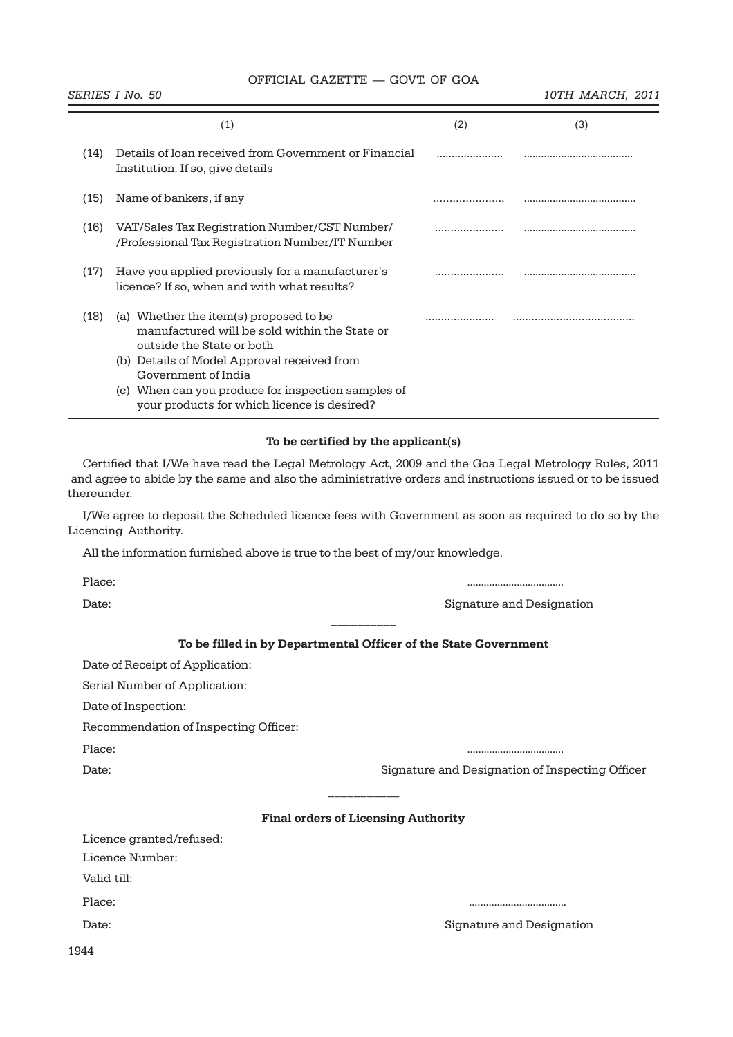**SERIES I No. 50** 10TH MARCH, 2011

|             | (1)                                                                                                                                                                                                                                                                                             | (2) | (3) |
|-------------|-------------------------------------------------------------------------------------------------------------------------------------------------------------------------------------------------------------------------------------------------------------------------------------------------|-----|-----|
| (14)        | Details of loan received from Government or Financial<br>Institution. If so, give details                                                                                                                                                                                                       |     |     |
| (15)        | Name of bankers, if any                                                                                                                                                                                                                                                                         |     |     |
| (16)        | VAT/Sales Tax Registration Number/CST Number/<br>/Professional Tax Registration Number/IT Number                                                                                                                                                                                                |     |     |
| (17)        | Have you applied previously for a manufacturer's<br>licence? If so, when and with what results?                                                                                                                                                                                                 |     |     |
| (18)        | (a) Whether the item(s) proposed to be<br>manufactured will be sold within the State or<br>outside the State or both<br>(b) Details of Model Approval received from<br>Government of India<br>(c) When can you produce for inspection samples of<br>your products for which licence is desired? |     |     |
|             | To be certified by the applicant(s)                                                                                                                                                                                                                                                             |     |     |
| thereunder. | Certified that I/We have read the Legal Metrology Act, 2009 and the Goa Legal Metrology Rules, 2011<br>and agree to abide by the same and also the administrative orders and instructions issued or to be issued                                                                                |     |     |

I/We agree to deposit the Scheduled licence fees with Government as soon as required to do so by the Licencing Authority.

All the information furnished above is true to the best of my/our knowledge.

Place: ...................................

Date: Signature and Designation

# **To be filled in by Departmental Officer of the State Government**

 $\frac{1}{2}$ 

Date of Receipt of Application:

Serial Number of Application:

Date of Inspection:

Recommendation of Inspecting Officer:

Place: ...................................

Date: Signature and Designation of Inspecting Officer

#### **Final orders of Licensing Authority**

 $\frac{1}{2}$ 

Licence granted/refused:

Licence Number:

Valid till:

Place: ...................................

Date: Signature and Designation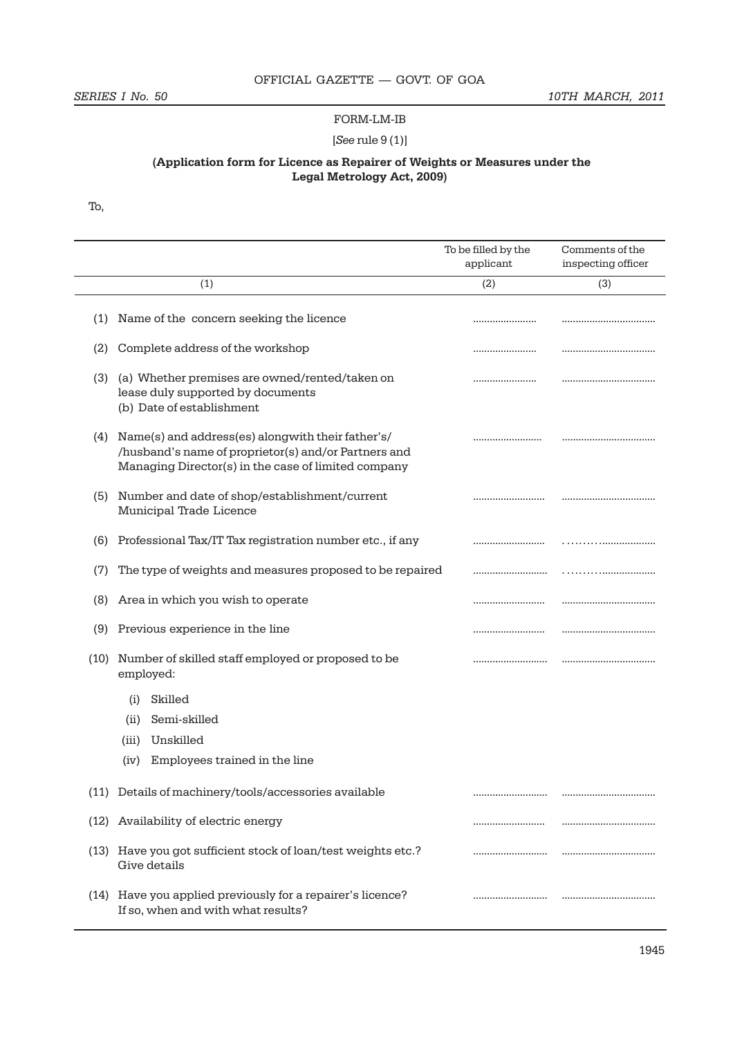# FORM-LM-IB

# [*See* rule 9 (1)]

# **(Application form for Licence as Repairer of Weights or Measures under the Legal Metrology Act, 2009)**

To,

 $\overline{a}$ 

|      |                                                                                                                                                                  | To be filled by the<br>applicant | Comments of the<br>inspecting officer |
|------|------------------------------------------------------------------------------------------------------------------------------------------------------------------|----------------------------------|---------------------------------------|
|      | (1)                                                                                                                                                              | (2)                              | (3)                                   |
| (1)  | Name of the concern seeking the licence                                                                                                                          |                                  |                                       |
| (2)  | Complete address of the workshop                                                                                                                                 |                                  |                                       |
| (3)  | (a) Whether premises are owned/rented/taken on<br>lease duly supported by documents<br>(b) Date of establishment                                                 |                                  |                                       |
| (4)  | Name(s) and address(es) alongwith their father's/<br>/husband's name of proprietor(s) and/or Partners and<br>Managing Director(s) in the case of limited company |                                  |                                       |
| (5)  | Number and date of shop/establishment/current<br>Municipal Trade Licence                                                                                         |                                  |                                       |
| (6)  | Professional Tax/IT Tax registration number etc., if any                                                                                                         |                                  |                                       |
| (7)  | The type of weights and measures proposed to be repaired                                                                                                         |                                  |                                       |
| (8)  | Area in which you wish to operate                                                                                                                                |                                  |                                       |
|      | (9) Previous experience in the line                                                                                                                              |                                  |                                       |
| (10) | Number of skilled staff employed or proposed to be<br>employed:                                                                                                  |                                  |                                       |
|      | Skilled<br>(i)                                                                                                                                                   |                                  |                                       |
|      | Semi-skilled<br>(i)                                                                                                                                              |                                  |                                       |
|      | Unskilled<br>(iii)                                                                                                                                               |                                  |                                       |
|      | Employees trained in the line<br>(iv)                                                                                                                            |                                  |                                       |
|      | (11) Details of machinery/tools/accessories available                                                                                                            |                                  |                                       |
| (12) | Availability of electric energy                                                                                                                                  |                                  | ,,,,,,,,,,,,,,,,,,,,,,,,,,,,,,,,,,    |
|      | (13) Have you got sufficient stock of loan/test weights etc.?<br>Give details                                                                                    |                                  | ,,,,,,,,,,,,,,,,,,,,,,,,,,,,,,,,,,    |
|      | (14) Have you applied previously for a repairer's licence?<br>If so, when and with what results?                                                                 |                                  |                                       |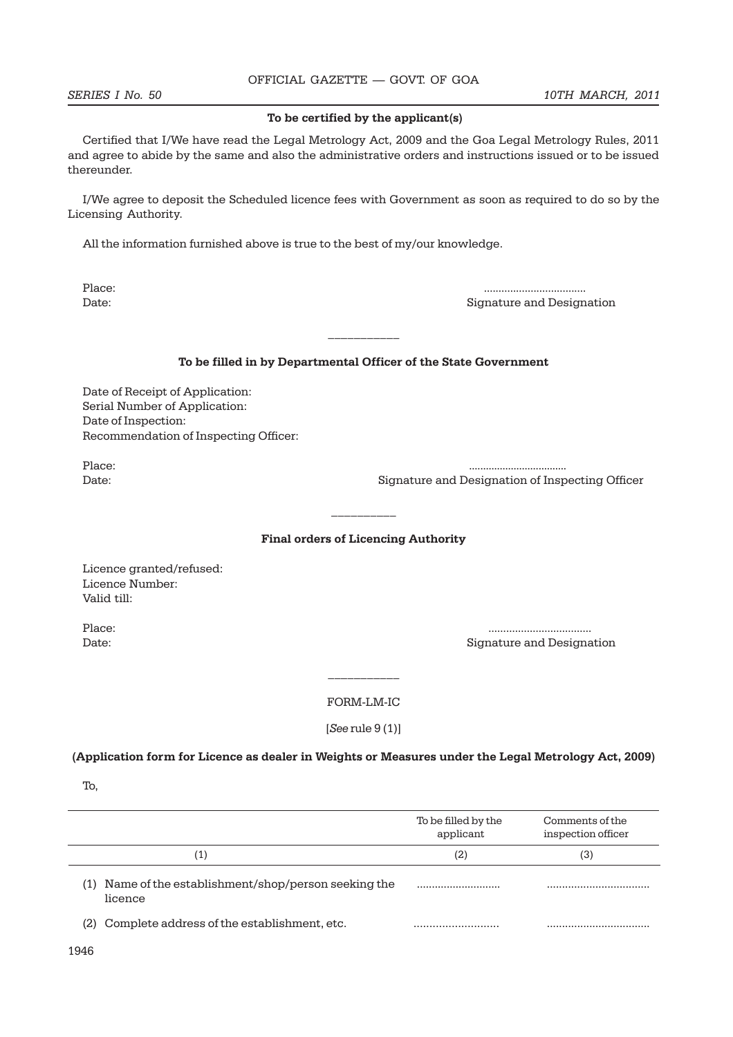**SERIES I** No. 50 10TH MARCH, 2011

#### **To be certified by the applicant(s)**

Certified that I/We have read the Legal Metrology Act, 2009 and the Goa Legal Metrology Rules, 2011 and agree to abide by the same and also the administrative orders and instructions issued or to be issued thereunder.

I/We agree to deposit the Scheduled licence fees with Government as soon as required to do so by the Licensing Authority.

All the information furnished above is true to the best of my/our knowledge.

Place: ................................... Date: Signature and Designation

#### **To be filled in by Departmental Officer of the State Government**

 $\frac{1}{2}$ 

Date of Receipt of Application: Serial Number of Application: Date of Inspection: Recommendation of Inspecting Officer:

Place: ...................................

Date: Signature and Designation of Inspecting Officer

### **Final orders of Licencing Authority**

 $\frac{1}{2}$ 

Licence granted/refused: Licence Number: Valid till:

Place: ................................... Date: Signature and Designation

> $\frac{1}{2}$ FORM-LM-IC

[*See* rule 9 (1)]

**(Application form for Licence as dealer in Weights or Measures under the Legal Metrology Act, 2009)**

|      |                                                              | To be filled by the<br>applicant | Comments of the<br>inspection officer |
|------|--------------------------------------------------------------|----------------------------------|---------------------------------------|
|      | (1)                                                          | (2)                              | (3)                                   |
| (1)  | Name of the establishment/shop/person seeking the<br>licence |                                  |                                       |
|      | (2) Complete address of the establishment, etc.              |                                  |                                       |
| 1946 |                                                              |                                  |                                       |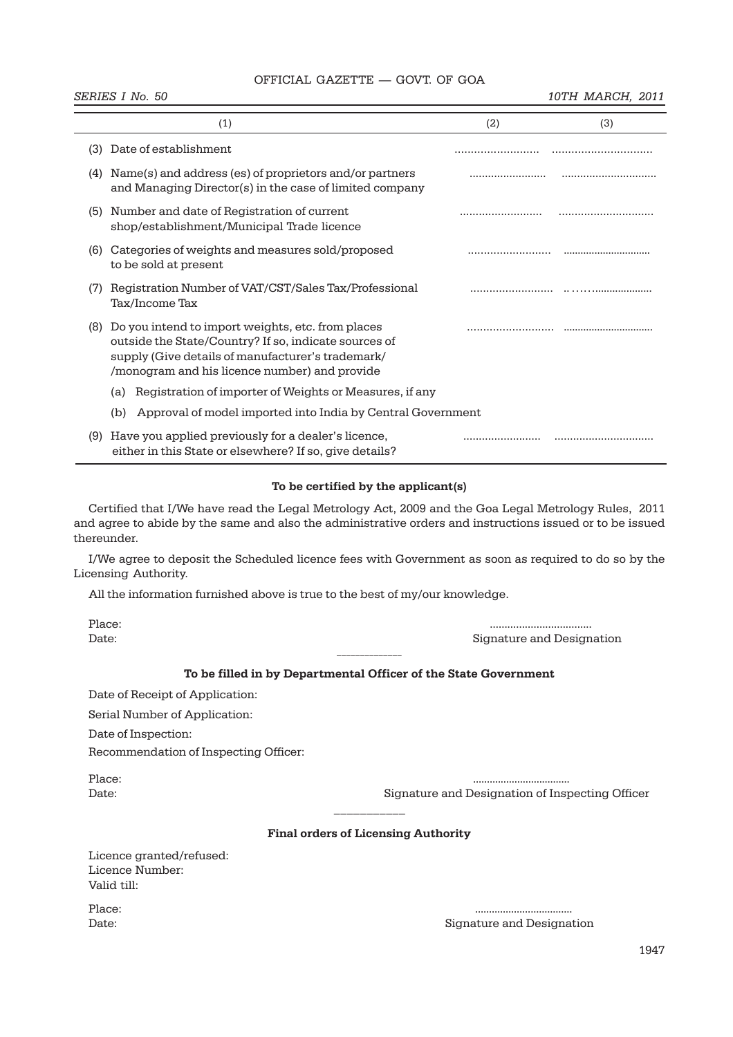**SERIES I No. 50** 10TH MARCH, 2011

|     | (1)                                                                                                                                                                                                              | (2) | (3) |
|-----|------------------------------------------------------------------------------------------------------------------------------------------------------------------------------------------------------------------|-----|-----|
| (3) | Date of establishment                                                                                                                                                                                            |     |     |
| (4) | Name(s) and address (es) of proprietors and/or partners<br>and Managing Director(s) in the case of limited company                                                                                               |     |     |
| (5) | Number and date of Registration of current<br>shop/establishment/Municipal Trade licence                                                                                                                         |     |     |
| (6) | Categories of weights and measures sold/proposed<br>to be sold at present                                                                                                                                        |     |     |
| (7) | Registration Number of VAT/CST/Sales Tax/Professional<br>Tax/Income Tax                                                                                                                                          |     |     |
| (8) | Do you intend to import weights, etc. from places<br>outside the State/Country? If so, indicate sources of<br>supply (Give details of manufacturer's trademark/<br>/monogram and his licence number) and provide |     |     |
|     | Registration of importer of Weights or Measures, if any<br>(a)                                                                                                                                                   |     |     |
|     | Approval of model imported into India by Central Government<br>(b)                                                                                                                                               |     |     |
| (9) | Have you applied previously for a dealer's licence,<br>either in this State or elsewhere? If so, give details?                                                                                                   |     |     |

#### **To be certified by the applicant(s)**

Certified that I/We have read the Legal Metrology Act, 2009 and the Goa Legal Metrology Rules, 2011 and agree to abide by the same and also the administrative orders and instructions issued or to be issued thereunder.

I/We agree to deposit the Scheduled licence fees with Government as soon as required to do so by the Licensing Authority.

All the information furnished above is true to the best of my/our knowledge.

| -<br>٠ |  |
|--------|--|
|        |  |

Place: ................................... Date: Signature and Designation

# $\overline{\phantom{a}}$  , where  $\overline{\phantom{a}}$  , where  $\overline{\phantom{a}}$ **To be filled in by Departmental Officer of the State Government**

Date of Receipt of Application:

Serial Number of Application:

Date of Inspection:

Recommendation of Inspecting Officer:

Place: ...................................

Date: Signature and Designation of Inspecting Officer

#### **Final orders of Licensing Authority**

| Licence granted/refused: |
|--------------------------|
| Licence Number:          |
| Valid till:              |

Place: ...................................

Date: Signature and Designation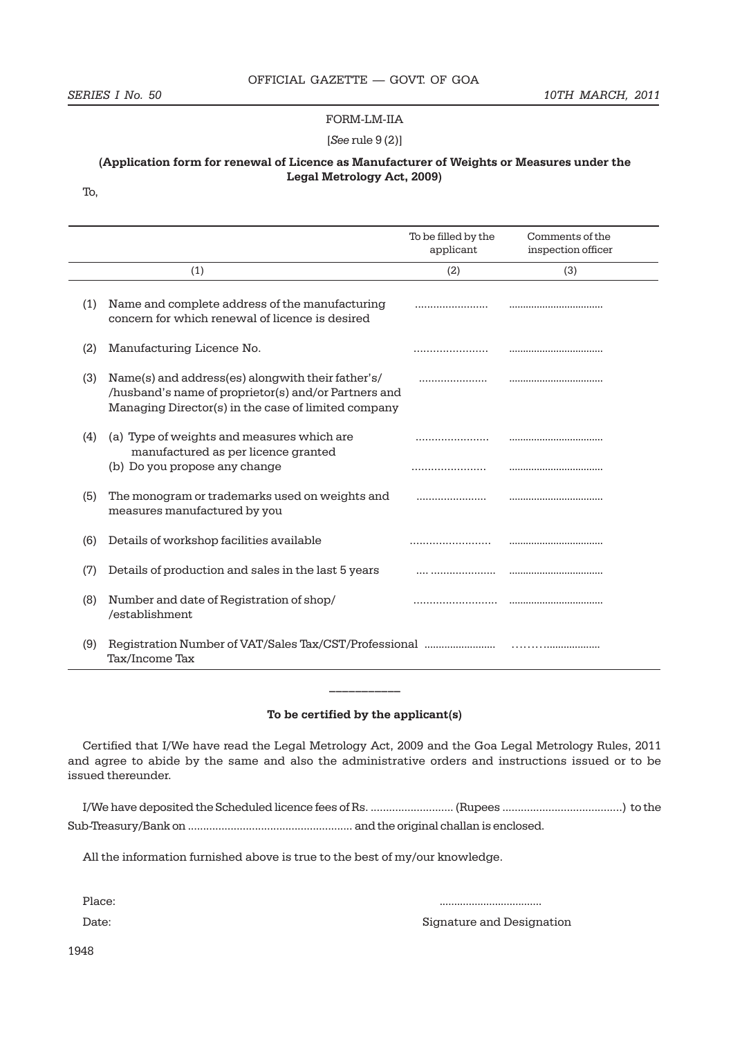#### FORM-LM-IIA

[*See* rule 9 (2)]

### **(Application form for renewal of Licence as Manufacturer of Weights or Measures under the Legal Metrology Act, 2009)**

To,

|     |                                                                                                                                                                  | To be filled by the<br>applicant | Comments of the<br>inspection officer |
|-----|------------------------------------------------------------------------------------------------------------------------------------------------------------------|----------------------------------|---------------------------------------|
|     | (1)                                                                                                                                                              | (2)                              | (3)                                   |
| (1) | Name and complete address of the manufacturing<br>concern for which renewal of licence is desired                                                                |                                  |                                       |
| (2) | Manufacturing Licence No.                                                                                                                                        |                                  |                                       |
| (3) | Name(s) and address(es) alongwith their father's/<br>/husband's name of proprietor(s) and/or Partners and<br>Managing Director(s) in the case of limited company |                                  |                                       |
| (4) | (a) Type of weights and measures which are<br>manufactured as per licence granted<br>(b) Do you propose any change                                               |                                  |                                       |
| (5) | The monogram or trademarks used on weights and<br>measures manufactured by you                                                                                   |                                  |                                       |
| (6) | Details of workshop facilities available                                                                                                                         |                                  |                                       |
| (7) | Details of production and sales in the last 5 years                                                                                                              |                                  |                                       |
| (8) | Number and date of Registration of shop/<br>/establishment                                                                                                       |                                  |                                       |
| (9) | Registration Number of VAT/Sales Tax/CST/Professional<br>Tax/Income Tax                                                                                          |                                  |                                       |

#### **To be certified by the applicant(s)**

Certified that I/We have read the Legal Metrology Act, 2009 and the Goa Legal Metrology Rules, 2011 and agree to abide by the same and also the administrative orders and instructions issued or to be issued thereunder.

All the information furnished above is true to the best of my/our knowledge.

Place: ................................... Date: **Signature and Designation** 

1948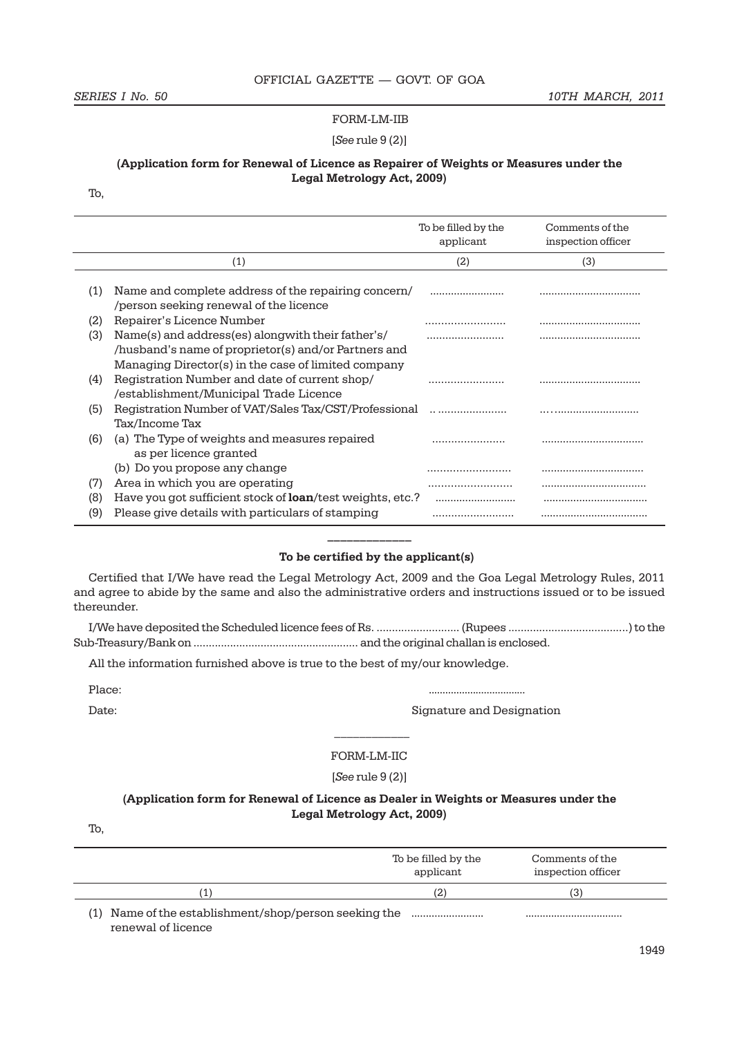#### FORM-LM-IIB

#### [*See* rule 9 (2)]

#### **(Application form for Renewal of Licence as Repairer of Weights or Measures under the Legal Metrology Act, 2009)**

To,

|     |                                                                                                                                                                  | To be filled by the<br>applicant | Comments of the<br>inspection officer |
|-----|------------------------------------------------------------------------------------------------------------------------------------------------------------------|----------------------------------|---------------------------------------|
|     | (1)                                                                                                                                                              | (2)                              | (3)                                   |
| (1) | Name and complete address of the repairing concern/<br>/person seeking renewal of the licence                                                                    |                                  |                                       |
| (2) | Repairer's Licence Number                                                                                                                                        |                                  |                                       |
| (3) | Name(s) and address(es) alongwith their father's/<br>/husband's name of proprietor(s) and/or Partners and<br>Managing Director(s) in the case of limited company |                                  |                                       |
| (4) | Registration Number and date of current shop/<br>/establishment/Municipal Trade Licence                                                                          |                                  |                                       |
| (5) | Registration Number of VAT/Sales Tax/CST/Professional<br>Tax/Income Tax                                                                                          |                                  |                                       |
| (6) | (a) The Type of weights and measures repaired<br>as per licence granted                                                                                          |                                  |                                       |
|     | (b) Do you propose any change                                                                                                                                    |                                  |                                       |
| (7) | Area in which you are operating                                                                                                                                  |                                  |                                       |
| (8) | Have you got sufficient stock of <b>loan</b> /test weights, etc.?                                                                                                |                                  |                                       |
| (9) | Please give details with particulars of stamping                                                                                                                 |                                  |                                       |

#### **To be certified by the applicant(s)**

**\_\_\_\_\_\_\_\_\_\_\_\_\_**

Certified that I/We have read the Legal Metrology Act, 2009 and the Goa Legal Metrology Rules, 2011 and agree to abide by the same and also the administrative orders and instructions issued or to be issued thereunder.

I/We have deposited the Scheduled licence fees of Rs. ........................... (Rupees .......................................) to the Sub-Treasury/Bank on ...................................................... and the original challan is enclosed.

All the information furnished above is true to the best of my/our knowledge.

Place: ...................................

Date: **Signature and Designation** 

#### FORM-LM-IIC

 $\frac{1}{2}$ 

[*See* rule 9 (2)]

### **(Application form for Renewal of Licence as Dealer in Weights or Measures under the Legal Metrology Act, 2009)**

To,

|                                                                                | To be filled by the<br>applicant | Comments of the<br>inspection officer |
|--------------------------------------------------------------------------------|----------------------------------|---------------------------------------|
| 11                                                                             | '21                              |                                       |
| Name of the establishment/shop/person seeking the<br>(1)<br>renewal of licence |                                  |                                       |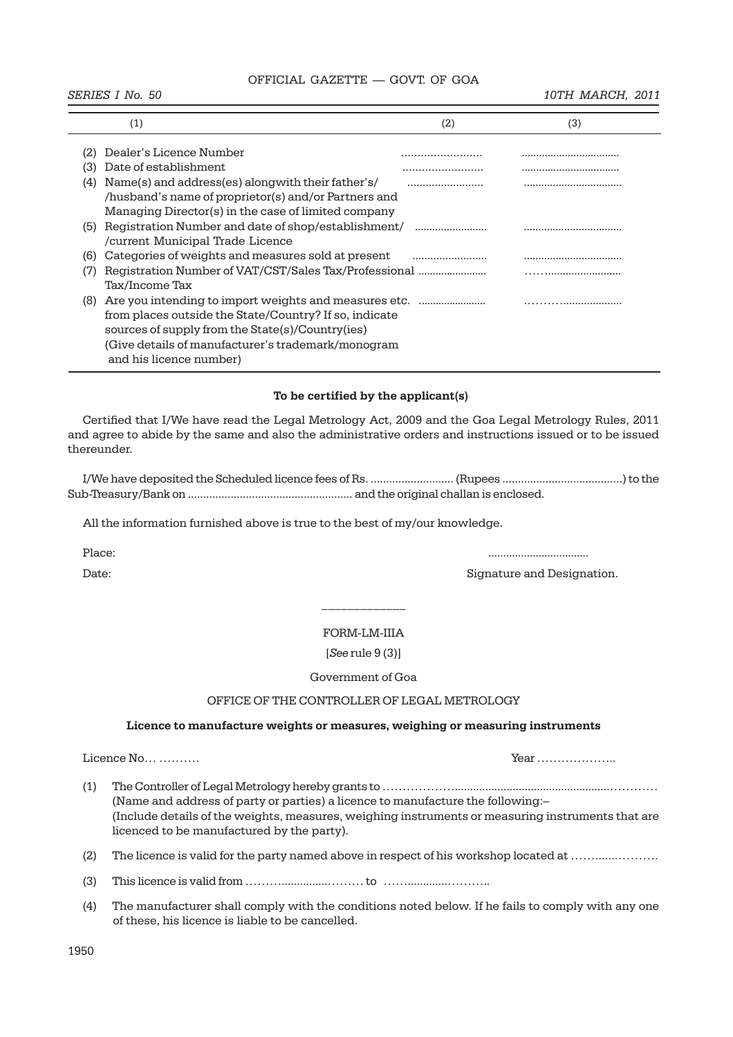$\overline{a}$ 

#### **SERIES I** No. 50 10TH MARCH, 2011

|     | $\left( 1\right)$                                      | (2) | (3) |
|-----|--------------------------------------------------------|-----|-----|
|     | Dealer's Licence Number                                |     |     |
|     |                                                        |     |     |
| (3  | Date of establishment                                  |     |     |
| (4) | Name(s) and address(es) alongwith their father's/      |     |     |
|     | /husband's name of proprietor(s) and/or Partners and   |     |     |
|     | Managing Director(s) in the case of limited company    |     |     |
| (5) | Registration Number and date of shop/establishment/    |     |     |
|     | /current Municipal Trade Licence                       |     |     |
| (6) | Categories of weights and measures sold at present     |     |     |
| (7  | Registration Number of VAT/CST/Sales Tax/Professional  |     |     |
|     | Tax/Income Tax                                         |     |     |
| (8) | Are you intending to import weights and measures etc.  |     |     |
|     | from places outside the State/Country? If so, indicate |     |     |
|     | sources of supply from the State(s)/Country(ies)       |     |     |
|     | (Give details of manufacturer's trademark/monogram     |     |     |
|     | and his licence number)                                |     |     |

### **To be certified by the applicant(s)**

Certified that I/We have read the Legal Metrology Act, 2009 and the Goa Legal Metrology Rules, 2011 and agree to abide by the same and also the administrative orders and instructions issued or to be issued thereunder.

I/We have deposited the Scheduled licence fees of Rs. ........................... (Rupees .......................................) to the Sub-Treasury/Bank on ...................................................... and the original challan is enclosed.

All the information furnished above is true to the best of my/our knowledge.

Place: ..................................

Date: Signature and Designation.

#### FORM-LM-IIIA

[*See* rule 9 (3)]

Government of Goa

# OFFICE OF THE CONTROLLER OF LEGAL METROLOGY

#### **Licence to manufacture weights or measures, weighing or measuring instruments**

Licence No… …………

- (1) The Controller of Legal Metrology hereby grants to ………………...................................................………… (Name and address of party or parties) a licence to manufacture the following:– (Include details of the weights, measures, weighing instruments or measuring instruments that are licenced to be manufactured by the party).
- (2) The licence is valid for the party named above in respect of his workshop located at …….......……….

(3) This licence is valid from ………...............……… to …….............………..

(4) The manufacturer shall comply with the conditions noted below. If he fails to comply with any one of these, his licence is liable to be cancelled.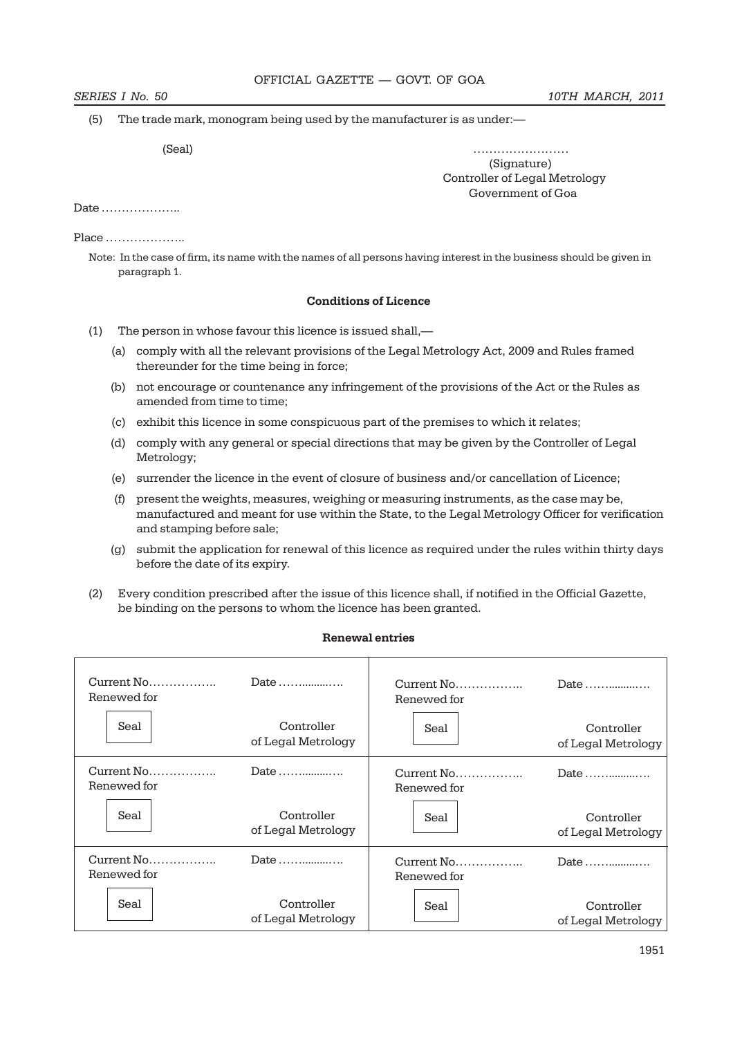(5) The trade mark, monogram being used by the manufacturer is as under:—

(Seal) ……………………

 (Signature) Controller of Legal Metrology Government of Goa

Date ………………..

Place ………………..

Note: In the case of firm, its name with the names of all persons having interest in the business should be given in paragraph 1.

### **Conditions of Licence**

- (1) The person in whose favour this licence is issued shall,—
	- (a) comply with all the relevant provisions of the Legal Metrology Act, 2009 and Rules framed thereunder for the time being in force;
	- (b) not encourage or countenance any infringement of the provisions of the Act or the Rules as amended from time to time;
	- (c) exhibit this licence in some conspicuous part of the premises to which it relates;
	- (d) comply with any general or special directions that may be given by the Controller of Legal Metrology;
	- (e) surrender the licence in the event of closure of business and/or cancellation of Licence;
	- (f) present the weights, measures, weighing or measuring instruments, as the case may be, manufactured and meant for use within the State, to the Legal Metrology Officer for verification and stamping before sale;
	- (g) submit the application for renewal of this licence as required under the rules within thirty days before the date of its expiry.
- (2) Every condition prescribed after the issue of this licence shall, if notified in the Official Gazette, be binding on the persons to whom the licence has been granted.

| Renewed for | Date                             | Renewed for | Date                             |
|-------------|----------------------------------|-------------|----------------------------------|
| Seal        | Controller<br>of Legal Metrology | Seal        | Controller<br>of Legal Metrology |
| Renewed for | Date                             | Renewed for | Date $\dots$                     |
| Seal        | Controller<br>of Legal Metrology | Seal        | Controller<br>of Legal Metrology |
| Renewed for | Date                             | Renewed for | Date $\ldots$                    |
| Seal        | Controller<br>of Legal Metrology | Seal        | Controller<br>of Legal Metrology |

# **Renewal entries**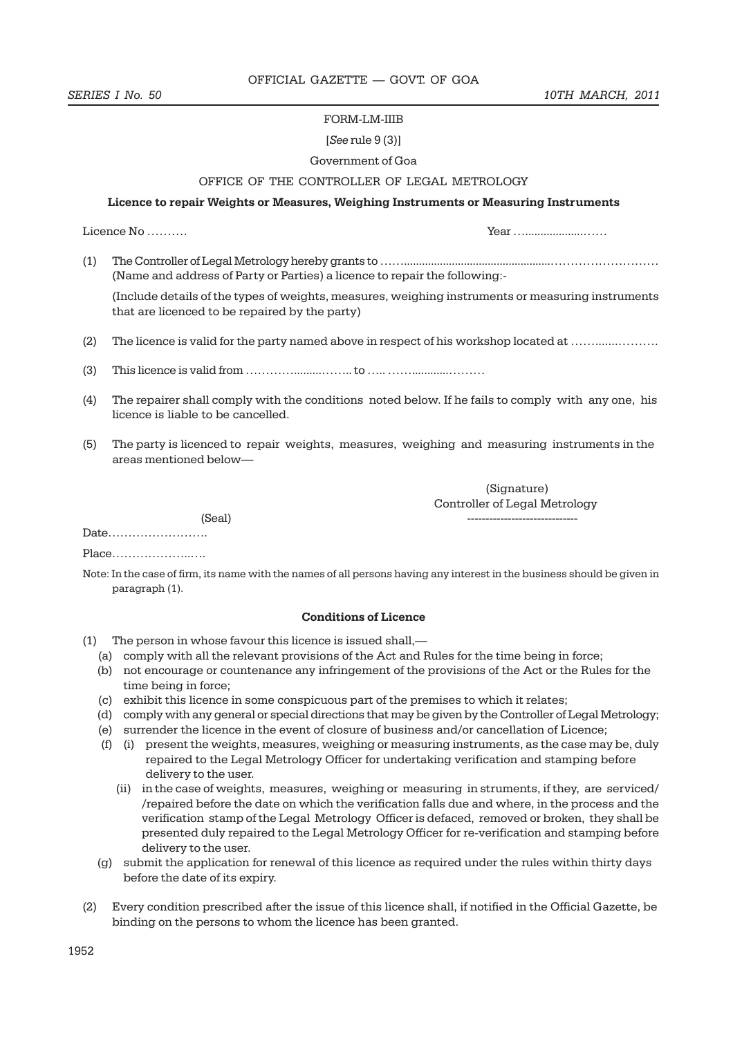#### FORM-LM-IIIB

#### [*See* rule 9 (3)]

#### Government of Goa

### OFFICE OF THE CONTROLLER OF LEGAL METROLOGY

#### **Licence to repair Weights or Measures, Weighing Instruments or Measuring Instruments**

Licence No ……….

(1) The Controller of Legal Metrology hereby grants to …….................................................……………………… (Name and address of Party or Parties) a licence to repair the following:-

(Include details of the types of weights, measures, weighing instruments or measuring instruments that are licenced to be repaired by the party)

(2) The licence is valid for the party named above in respect of his workshop located at …….......……….

- (3) This licence is valid from ………….........…….. to ….. ……............………
- (4) The repairer shall comply with the conditions noted below. If he fails to comply with any one, his licence is liable to be cancelled.
- (5) The party is licenced to repair weights, measures, weighing and measuring instruments in the areas mentioned below—

 (Signature) Controller of Legal Metrology

(Seal) ------------------------------

Date…………………….

Place………………..….

Note: In the case of firm, its name with the names of all persons having any interest in the business should be given in paragraph (1).

#### **Conditions of Licence**

- (1) The person in whose favour this licence is issued shall,—
	- (a) comply with all the relevant provisions of the Act and Rules for the time being in force;
	- (b) not encourage or countenance any infringement of the provisions of the Act or the Rules for the time being in force;
	- (c) exhibit this licence in some conspicuous part of the premises to which it relates;
	- (d) comply with any general or special directions that may be given by the Controller of Legal Metrology;
	- (e) surrender the licence in the event of closure of business and/or cancellation of Licence;
	- (f) (i) present the weights, measures, weighing or measuring instruments, as the case may be, duly repaired to the Legal Metrology Officer for undertaking verification and stamping before delivery to the user.
		- (ii) in the case of weights, measures, weighing or measuring in struments, if they, are serviced/ /repaired before the date on which the verification falls due and where, in the process and the verification stamp of the Legal Metrology Officer is defaced, removed or broken, they shall be presented duly repaired to the Legal Metrology Officer for re-verification and stamping before delivery to the user.
	- (g) submit the application for renewal of this licence as required under the rules within thirty days before the date of its expiry.
- (2) Every condition prescribed after the issue of this licence shall, if notified in the Official Gazette, be binding on the persons to whom the licence has been granted.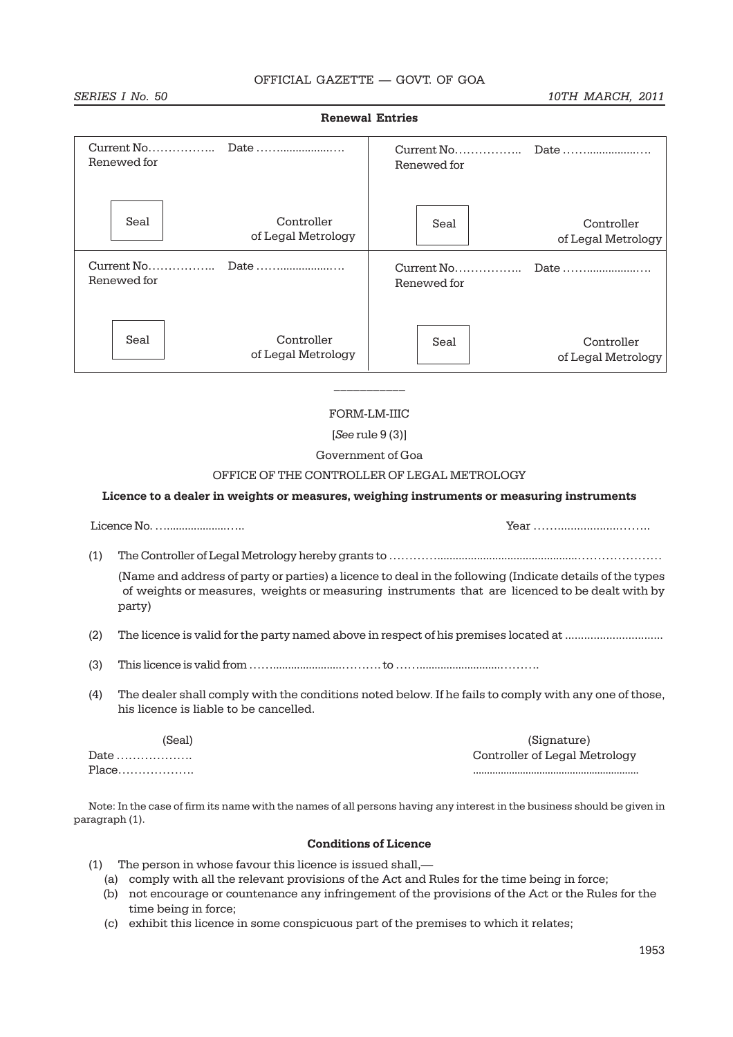**Renewal Entries**

#### **SERIES I No. 50** 10TH MARCH, 2011

| Renewed for |                                  | Current No<br>Renewed for | Date                             |  |
|-------------|----------------------------------|---------------------------|----------------------------------|--|
| Seal        | Controller<br>of Legal Metrology | Seal                      | Controller<br>of Legal Metrology |  |
| Renewed for |                                  | Current No<br>Renewed for | Date                             |  |
| Seal        | Controller<br>of Legal Metrology | Seal                      | Controller<br>of Legal Metrology |  |

# FORM-LM-IIIC

 $\frac{1}{2}$ 

#### [*See* rule 9 (3)]

### Government of Goa

#### OFFICE OF THE CONTROLLER OF LEGAL METROLOGY

#### **Licence to a dealer in weights or measures, weighing instruments or measuring instruments**

| $\sim$<br>acence, l<br>ıм |  |
|---------------------------|--|
|                           |  |

(1) The Controller of Legal Metrology hereby grants to …………..............................................…………………

(Name and address of party or parties) a licence to deal in the following (Indicate details of the types of weights or measures, weights or measuring instruments that are licenced to be dealt with by party)

- (2) The licence is valid for the party named above in respect of his premises located at ...............................
- $(3)$  This licence is valid from  $\ldots$   $\ldots$   $\ldots$   $\ldots$   $\ldots$   $\ldots$   $\ldots$   $\ldots$  to  $\ldots$   $\ldots$   $\ldots$   $\ldots$   $\ldots$   $\ldots$   $\ldots$
- (4) The dealer shall comply with the conditions noted below. If he fails to comply with any one of those, his licence is liable to be cancelled.

| (Seal)                                | (Signature)                   |
|---------------------------------------|-------------------------------|
| Date $\dots\dots\dots\dots\dots\dots$ | Controller of Legal Metrology |
|                                       |                               |

Note: In the case of firm its name with the names of all persons having any interest in the business should be given in paragraph (1).

#### **Conditions of Licence**

- (1) The person in whose favour this licence is issued shall,—
	- (a) comply with all the relevant provisions of the Act and Rules for the time being in force;
	- (b) not encourage or countenance any infringement of the provisions of the Act or the Rules for the time being in force;
	- (c) exhibit this licence in some conspicuous part of the premises to which it relates;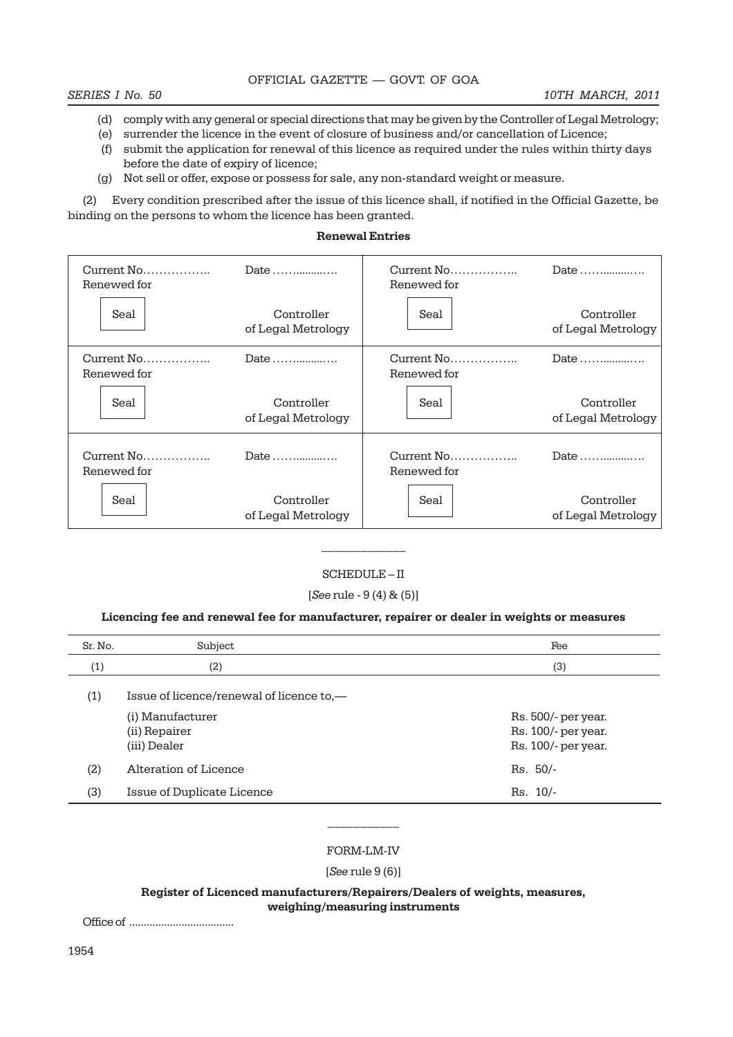- (d) comply with any general or special directions that may be given by the Controller of Legal Metrology;
- (e) surrender the licence in the event of closure of business and/or cancellation of Licence;
- (f) submit the application for renewal of this licence as required under the rules within thirty days before the date of expiry of licence;
- (g) Not sell or offer, expose or possess for sale, any non-standard weight or measure.

(2) Every condition prescribed after the issue of this licence shall, if notified in the Official Gazette, be binding on the persons to whom the licence has been granted.

#### **Renewal Entries**

| Date<br>Renewed for |                                  | Renewed for | Date                             |  |
|---------------------|----------------------------------|-------------|----------------------------------|--|
| Seal                | Controller<br>of Legal Metrology | Seal        | Controller<br>of Legal Metrology |  |
| Renewed for         | Date                             | Renewed for | Date                             |  |
| Seal                | Controller<br>of Legal Metrology | Seal        | Controller<br>of Legal Metrology |  |
| Renewed for         | Date                             | Renewed for | Date                             |  |
| Seal                | Controller<br>of Legal Metrology | Seal        | Controller<br>of Legal Metrology |  |

### SCHEDULE – II

 $\frac{1}{2}$ 

[*See* rule - 9 (4) & (5)]

#### **Licencing fee and renewal fee for manufacturer, repairer or dealer in weights or measures**

| Sr. No. | Subject                                           | Fee                                                               |
|---------|---------------------------------------------------|-------------------------------------------------------------------|
| (1)     | (2)                                               | (3)                                                               |
| (1)     | Issue of licence/renewal of licence to,—          |                                                                   |
|         | (i) Manufacturer<br>(ii) Repairer<br>(iii) Dealer | Rs. 500/- per year.<br>Rs. 100/- per year.<br>Rs. 100/- per year. |
| (2)     | Alteration of Licence                             | $Rs. 50/-$                                                        |
| (3)     | Issue of Duplicate Licence                        | $Rs. 10/-$                                                        |

#### FORM-LM-IV

[*See* rule 9 (6)]

**Register of Licenced manufacturers/Repairers/Dealers of weights, measures, weighing/measuring instruments**

Office of ....................................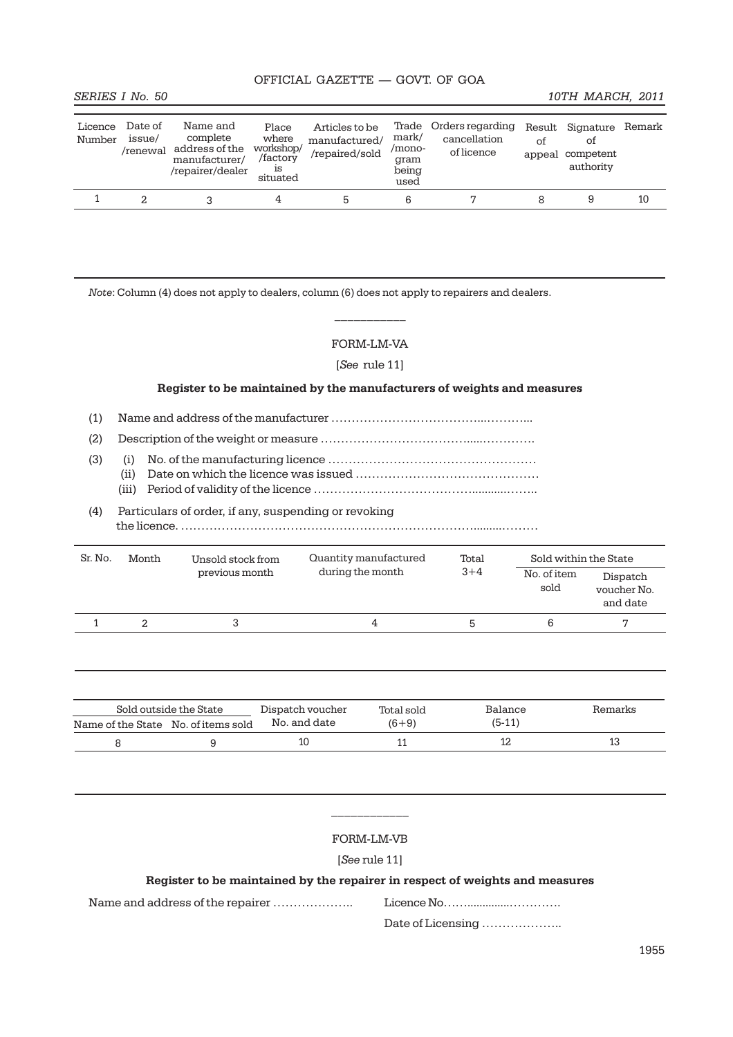| Licence<br>Number | Date of<br>issue/<br>/renewal | Name and<br>complete<br>address of the<br>manufacturer/<br>/repairer/dealer | Place<br>where<br>workshop/<br>/factory<br>ıs<br>situated | Articles to be<br>manufactured/<br>/repaired/sold | Trade<br>mark/<br>/mono-<br>gram<br>being<br>used | Orders regarding<br>cancellation<br>of licence | οf | Result Signature Remark<br>οt<br>appeal competent<br>authority |    |
|-------------------|-------------------------------|-----------------------------------------------------------------------------|-----------------------------------------------------------|---------------------------------------------------|---------------------------------------------------|------------------------------------------------|----|----------------------------------------------------------------|----|
|                   |                               |                                                                             | 4                                                         |                                                   | 6                                                 |                                                |    |                                                                | 10 |

*Note*: Column (4) does not apply to dealers, column (6) does not apply to repairers and dealers.

# FORM-LM-VA

 $\frac{1}{2}$ 

[*See* rule 11]

#### **Register to be maintained by the manufacturers of weights and measures**

- (1) Name and address of the manufacturer ………………………………...………...
- (2) Description of the weight or measure ……………………………….....………….
- (3) (i) No. of the manufacturing licence ……………………………………………
	- (ii) Date on which the licence was issued ………………………………………
	- (iii) Period of validity of the licence …………………………………...........……..

# (4) Particulars of order, if any, suspending or revoking the licence. ……………………………………………………………….........………

| Sr. No. | Month | Unsold stock from | Quantity manufactured | Total   | Sold within the State |                                     |
|---------|-------|-------------------|-----------------------|---------|-----------------------|-------------------------------------|
|         |       | previous month    | during the month      | $3 + 4$ | No. of item<br>sold   | Dispatch<br>voucher No.<br>and date |
|         |       |                   | 4                     | ხ       | b                     |                                     |

|                                     | Sold outside the State | Dispatch voucher | Total sold | Balance  | Remarks |
|-------------------------------------|------------------------|------------------|------------|----------|---------|
| Name of the State No. of items sold |                        | No. and date     | $(6+9)$    | $(5-11)$ |         |
|                                     |                        |                  |            |          |         |

#### FORM-LM-VB

 $\mathcal{L}_\text{max}$ 

[*See* rule 11]

# **Register to be maintained by the repairer in respect of weights and measures**

Name and address of the repairer ……………….. Licence No……..............………….

Date of Licensing ………………..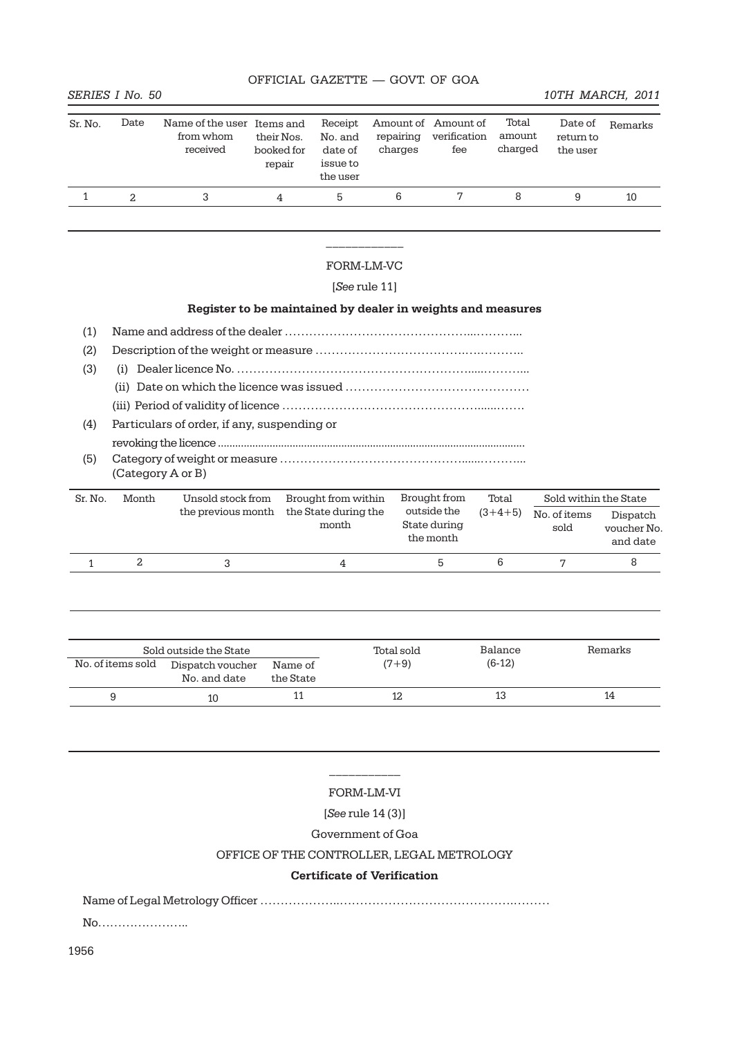#### **SERIES I No. 50** 10TH MARCH, 2011

| Sr. No. | Date | Name of the user Items and<br>from whom<br>received | their Nos.<br>booked for<br>repair | Receipt<br>No. and<br>date of<br>issue to<br>the user | repairing<br>charges | Amount of Amount of<br>verification<br>fee | Total<br>amount<br>charged | Date of<br>return to<br>the user | Remarks |
|---------|------|-----------------------------------------------------|------------------------------------|-------------------------------------------------------|----------------------|--------------------------------------------|----------------------------|----------------------------------|---------|
|         |      |                                                     | 4                                  | h                                                     | 6                    |                                            | 8                          | 9                                | 10      |

# $\frac{1}{2}$  ,  $\frac{1}{2}$  ,  $\frac{1}{2}$  ,  $\frac{1}{2}$  ,  $\frac{1}{2}$  ,  $\frac{1}{2}$ FORM-LM-VC

#### [*See* rule 11]

# **Register to be maintained by dealer in weights and measures**

- (1) Name and address of the dealer ………………………………………...………...
- (2) Description of the weight or measure ……………………………….….………..
- (3) (i) Dealer licence No. ………………………………………………….....………...
	- (ii) Date on which the licence was issued ………………………………………
	- (iii) Period of validity of licence …………………………………………......…….
- (4) Particulars of order, if any, suspending or
- revoking the licence ........................................................................................................... (5) Category of weight or measure ………………………………………......………...
	- (Category A or B)

| Sr. No. | Month | Unsold stock from  | Brought from within           | Brought from                             | Total     | Sold within the State |                                     |
|---------|-------|--------------------|-------------------------------|------------------------------------------|-----------|-----------------------|-------------------------------------|
|         |       | the previous month | the State during the<br>month | outside the<br>State during<br>the month | $(3+4+5)$ | No. of items<br>sold  | Dispatch<br>voucher No.<br>and date |
|         |       |                    |                               | h                                        | b         |                       |                                     |

| Sold outside the State |                                  |                      | Total sold | Balance  | Remarks |
|------------------------|----------------------------------|----------------------|------------|----------|---------|
| No. of items sold      | Dispatch voucher<br>No. and date | Name of<br>the State | $(7+9)$    | $(6-12)$ |         |
|                        | 10                               |                      |            | 13       | 14      |

# $\frac{1}{2}$ FORM-LM-VI

#### [*See* rule 14 (3)]

Government of Goa

#### OFFICE OF THE CONTROLLER, LEGAL METROLOGY

#### **Certificate of Verification**

Name of Legal Metrology Officer ………………..…………………………………….………

No…………………..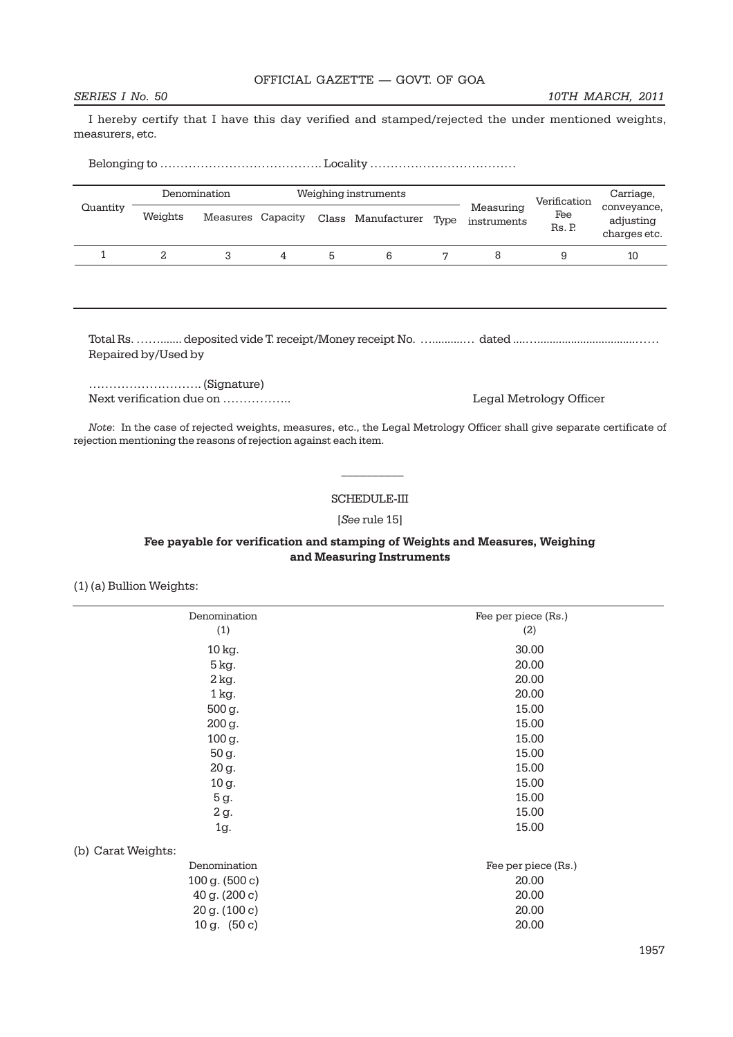I hereby certify that I have this day verified and stamped/rejected the under mentioned weights, measurers, etc.

Belonging to …………………………………. Locality ………………………………

|          |         | Denomination      |   | Weighing instruments |      |                          | Verification  | Carriage,                                |
|----------|---------|-------------------|---|----------------------|------|--------------------------|---------------|------------------------------------------|
| Quantity | Weights | Measures Capacity |   | Class Manufacturer   | Type | Measuring<br>instruments | Fee<br>Rs. P. | conveyance,<br>adjusting<br>charges etc. |
|          |         |                   | 4 |                      |      |                          |               | 10                                       |

Total Rs. ……....... deposited vide T. receipt/Money receipt No. …..........… dated ....…................................…… Repaired by/Used by

………………………. (Signature) Next verification due on …………….. Legal Metrology Officer

*Note*: In the case of rejected weights, measures, etc., the Legal Metrology Officer shall give separate certificate of rejection mentioning the reasons of rejection against each item.

 $\frac{1}{2}$ 

#### SCHEDULE-III

#### [*See* rule 15]

#### **Fee payable for verification and stamping of Weights and Measures, Weighing and Measuring Instruments**

(1) (a) Bullion Weights:

| Denomination       | Fee per piece (Rs.) |
|--------------------|---------------------|
| (1)                | (2)                 |
| 10 kg.             | 30.00               |
| 5 kg.              | 20.00               |
| 2 kg.              | 20.00               |
| 1 kg.              | 20.00               |
| 500 g.             | 15.00               |
| 200 g.             | 15.00               |
| 100 g.             | 15.00               |
| 50 g.              | 15.00               |
| 20 g.              | 15.00               |
| 10 g.              | 15.00               |
| 5 g.               | 15.00               |
| 2 g.               | 15.00               |
| 1g.                | 15.00               |
| (b) Carat Weights: |                     |
| Denomination       | Fee per piece (Rs.) |
| 100 g. (500 c)     | 20.00               |
| 40 g. (200 c)      | 20.00               |
| 20 g. (100 c)      | 20.00               |
| 10 g. $(50c)$      | 20.00               |
|                    |                     |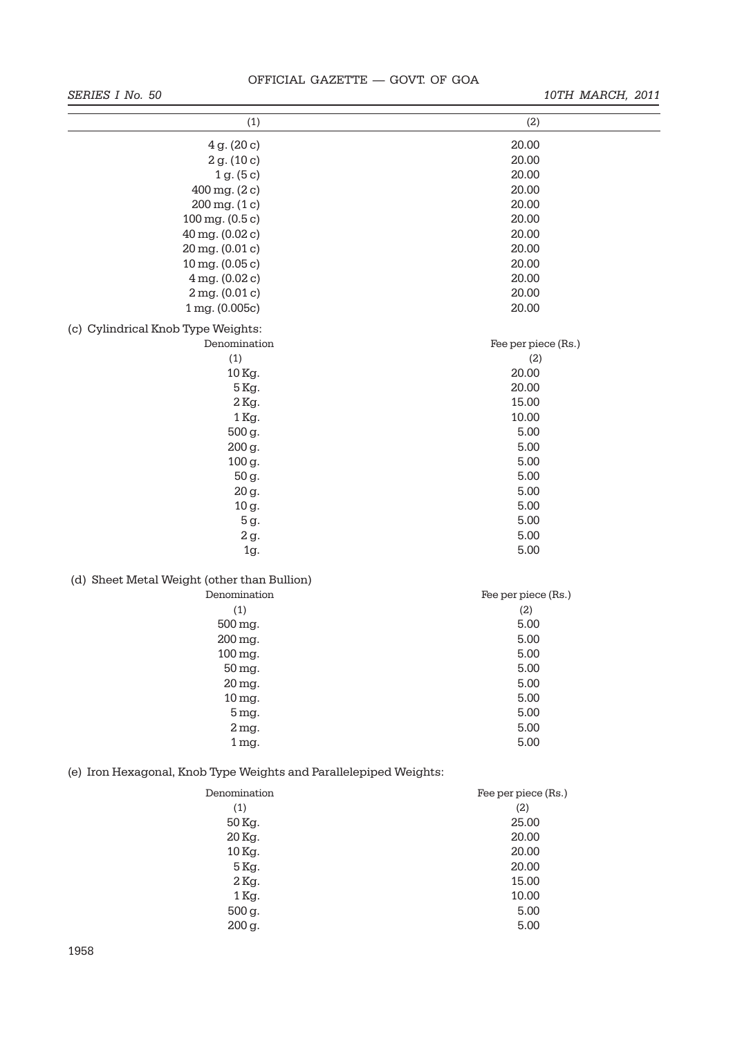# *SERIES I No. 50 10TH MARCH, 2011*

| (1)                                                               | (2)                 |
|-------------------------------------------------------------------|---------------------|
|                                                                   |                     |
| 4g. (20c)                                                         | 20.00               |
| 2 g. (10 c)                                                       | 20.00               |
| 1 g. (5 c)                                                        | 20.00               |
| 400 mg. (2c)                                                      | 20.00               |
| $200 \,\mathrm{mg}$ . $(1 \,\mathrm{c})$                          | 20.00               |
| $100 \,\mathrm{mg}$ . $(0.5 \,\mathrm{c})$                        | 20.00               |
| 40 mg. (0.02 c)                                                   | 20.00               |
| 20 mg. (0.01 c)                                                   | 20.00               |
| $10$ mg. $(0.05c)$                                                | 20.00               |
| 4 mg. (0.02 c)                                                    | 20.00               |
| 2mg. (0.01c)                                                      | 20.00               |
| 1 mg. (0.005c)                                                    | 20.00               |
| (c) Cylindrical Knob Type Weights:                                |                     |
| Denomination                                                      | Fee per piece (Rs.) |
| (1)                                                               | (2)                 |
| 10 Kg.                                                            | 20.00               |
| 5 Kg.                                                             | 20.00               |
| 2 Kg.                                                             | 15.00               |
| 1 Kg.                                                             | 10.00               |
| 500 g.                                                            | 5.00                |
| 200 g.                                                            | 5.00                |
| 100 g.                                                            | 5.00                |
| 50 g.                                                             | 5.00                |
| 20 g.                                                             | 5.00                |
| 10 g.                                                             | 5.00                |
| 5 g.                                                              | 5.00                |
| 2 g.                                                              | 5.00                |
| $1g$ .                                                            | 5.00                |
| (d) Sheet Metal Weight (other than Bullion)                       |                     |
| Denomination                                                      | Fee per piece (Rs.) |
| (1)                                                               | (2)                 |
| 500 mg.                                                           | 5.00                |
| 200 mg.                                                           | 5.00                |
| $100$ mg.                                                         | 5.00                |
| 50 mg.                                                            | 5.00                |
| 20 mg.                                                            | 5.00                |
| 10 mg.                                                            | 5.00                |
| 5 mg.                                                             | 5.00                |
| $2$ mg.                                                           | 5.00                |
| $1mg$ .                                                           | 5.00                |
| (e) Iron Hexagonal, Knob Type Weights and Parallelepiped Weights: |                     |
| Denomination                                                      | Fee per piece (Rs.) |
| (1)                                                               | (2)                 |
| 50 Kg.                                                            | 25.00               |
| 20 Kg.                                                            | 20.00               |
| 10 Kg.                                                            | 20.00               |
| 5 Kg.                                                             | 20.00               |
| 2 Kg.                                                             | 15.00               |
| 1 Kg.                                                             | 10.00               |
| 500 g.                                                            | 5.00                |
| 200 g.                                                            | 5.00                |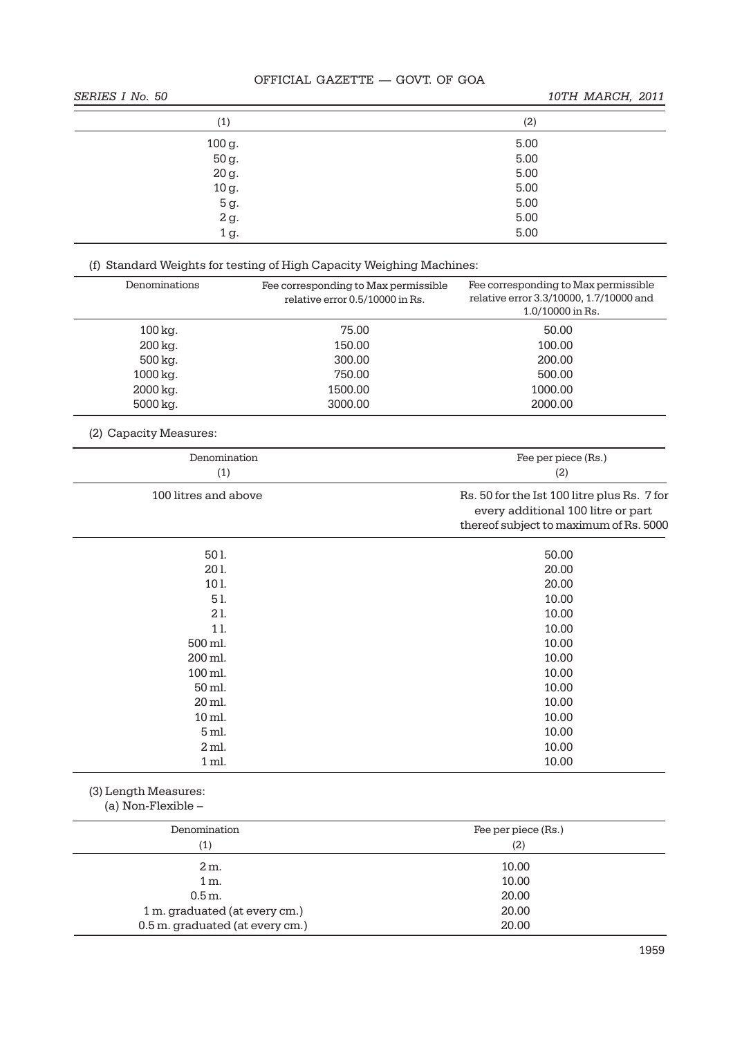# **SERIES I No. 50** 10TH MARCH, 2011

| (1)                                                            | (2)  |
|----------------------------------------------------------------|------|
|                                                                | 5.00 |
| $\begin{array}{c} 100 \text{ g.} \\ 50 \text{ g.} \end{array}$ | 5.00 |
| 20 g.                                                          | 5.00 |
| $10 g.$                                                        | 5.00 |
| 5 g.                                                           | 5.00 |
| $2\,\mathrm{g}$                                                | 5.00 |
| 1 g.                                                           | 5.00 |

# (f) Standard Weights for testing of High Capacity Weighing Machines:

| Denominations          | Fee corresponding to Max permissible<br>relative error 0.5/10000 in Rs. | Fee corresponding to Max permissible<br>relative error 3.3/10000, 1.7/10000 and<br>1.0/10000 in Rs.                         |
|------------------------|-------------------------------------------------------------------------|-----------------------------------------------------------------------------------------------------------------------------|
| 100 kg.                | 75.00                                                                   | 50.00                                                                                                                       |
| 200 kg.                | 150.00                                                                  | 100.00                                                                                                                      |
| 500 kg.                | 300.00                                                                  | 200.00                                                                                                                      |
| 1000 kg.               | 750.00                                                                  | 500.00                                                                                                                      |
| 2000 kg.               | 1500.00                                                                 | 1000.00                                                                                                                     |
| 5000 kg.               | 3000.00                                                                 | 2000.00                                                                                                                     |
| (2) Capacity Measures: |                                                                         |                                                                                                                             |
| Denomination           |                                                                         | Fee per piece (Rs.)                                                                                                         |
| (1)                    |                                                                         | (2)                                                                                                                         |
| 100 litres and above   |                                                                         | Rs. 50 for the Ist 100 litre plus Rs. 7 for<br>every additional 100 litre or part<br>thereof subject to maximum of Rs. 5000 |
| 501.                   |                                                                         | 50.00                                                                                                                       |
| 201.                   |                                                                         | 20.00                                                                                                                       |
| 101.                   |                                                                         | 20.00                                                                                                                       |
| 51.                    |                                                                         | 10.00                                                                                                                       |
| 21.                    |                                                                         | 10.00                                                                                                                       |
| 11.                    |                                                                         | 10.00                                                                                                                       |
| 500 ml.                |                                                                         | 10.00                                                                                                                       |
| 200 ml.                |                                                                         | 10.00                                                                                                                       |
| 100 ml.                |                                                                         | 10.00                                                                                                                       |
| 50 ml.                 |                                                                         | 10.00                                                                                                                       |
| 20 ml.                 |                                                                         | 10.00                                                                                                                       |
| 10 ml.                 |                                                                         | 10.00                                                                                                                       |
| 5 ml.                  |                                                                         | 10.00                                                                                                                       |
| 2 <sub>ml</sub>        |                                                                         | 10.00                                                                                                                       |
| 1 <sub>ml</sub>        |                                                                         | 10.00                                                                                                                       |

(3) Length Measures:

 <sup>(</sup>a) Non-Flexible –

| Denomination<br>(1)             | Fee per piece (Rs.)<br>(2) |
|---------------------------------|----------------------------|
| $2m$ .                          | 10.00                      |
| 1 m.                            | 10.00                      |
| 0.5 m.                          | 20.00                      |
| 1 m. graduated (at every cm.)   | 20.00                      |
| 0.5 m. graduated (at every cm.) | 20.00                      |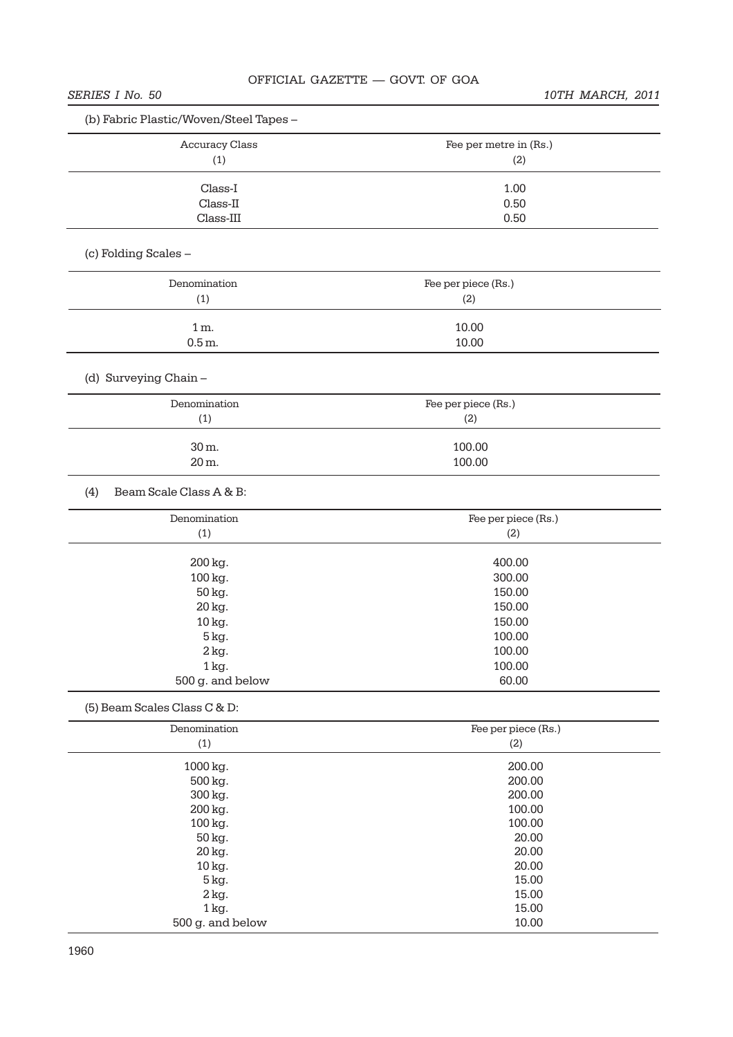| (b) Fabric Plastic/Woven/Steel Tapes - |                        |
|----------------------------------------|------------------------|
| <b>Accuracy Class</b>                  | Fee per metre in (Rs.) |
| (1)                                    | (2)                    |
| Class-I                                | 1.00                   |
| Class-II                               | 0.50                   |
| $Class-III$                            | 0.50                   |
|                                        |                        |
| (c) Folding Scales -                   |                        |
| Denomination                           | Fee per piece (Rs.)    |
| (1)                                    | (2)                    |
| $1m$ .                                 | 10.00                  |
| $0.5m$ .                               | 10.00                  |
| (d) Surveying Chain -                  |                        |
|                                        |                        |
| Denomination                           | Fee per piece (Rs.)    |
| (1)                                    | (2)                    |
| 30 m.                                  | 100.00                 |
| 20 m.                                  | 100.00                 |
| Beam Scale Class A & B:<br>(4)         |                        |
| Denomination                           | Fee per piece (Rs.)    |
| (1)                                    | (2)                    |
| 200 kg.                                | 400.00                 |
| 100 kg.                                | 300.00                 |
| 50 kg.                                 | 150.00                 |
| 20 kg.                                 | 150.00                 |
| 10 kg.                                 | 150.00                 |
| 5 kg.                                  | 100.00                 |
| $2 \text{ kg}$ .                       | 100.00                 |
| $1 \text{ kg}$ .                       | 100.00                 |
| 500 g. and below                       | 60.00                  |
| (5) Beam Scales Class C & D:           |                        |
| Denomination                           | Fee per piece (Rs.)    |
| (1)                                    | (2)                    |
| 1000 kg.                               | 200.00                 |
| 500 kg.                                | 200.00                 |
| 300 kg.                                | 200.00                 |
| 200 kg.                                | 100.00                 |
| 100 kg.                                | 100.00                 |
| 50 kg.                                 | 20.00                  |
| 20 kg.                                 | 20.00                  |
| 10 kg.                                 | 20.00                  |
| 5 kg.                                  | 15.00                  |
| $2 \text{ kg}$ .                       | 15.00                  |
| 1 kg.                                  | 15.00                  |
| 500 g. and below                       | 10.00                  |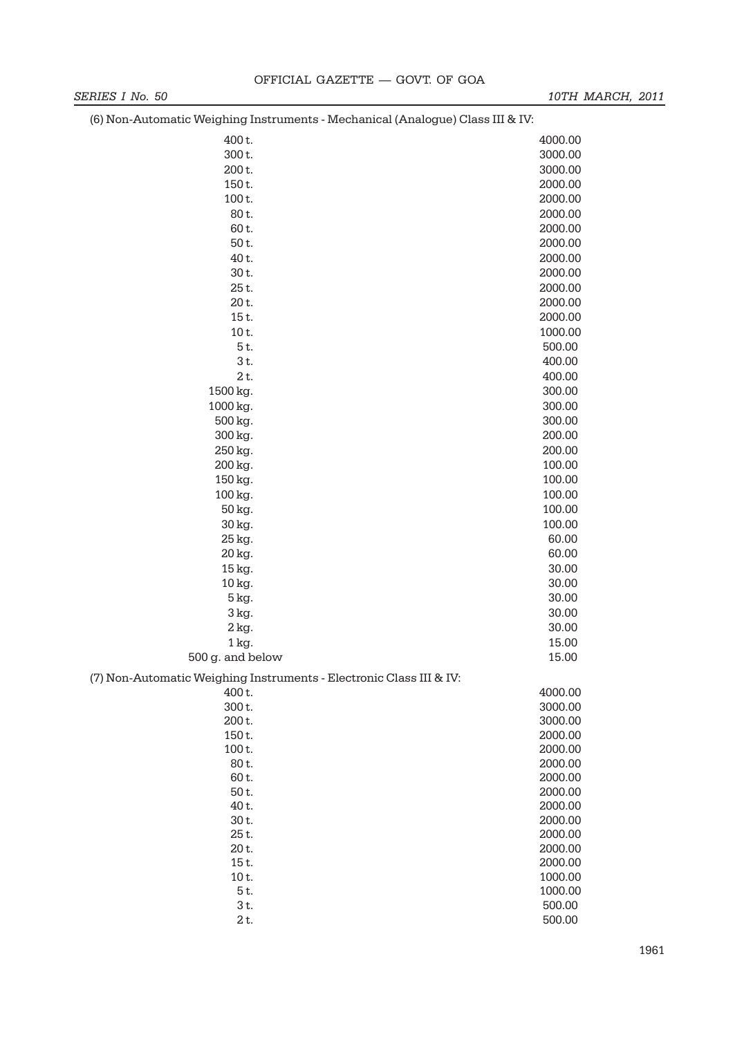| (9) IVON LIQUONIQUO VVOIGNING INDU QNONIQNOI INOONQNOGHO (LINQLOGHO) ORDO IN QTV. |         |
|-----------------------------------------------------------------------------------|---------|
| 400 t.                                                                            | 4000.00 |
| 300t.                                                                             | 3000.00 |
| 200 t.                                                                            | 3000.00 |
| 150t.                                                                             | 2000.00 |
| 100t.                                                                             | 2000.00 |
| 80t.                                                                              | 2000.00 |
| 60t.                                                                              | 2000.00 |
| 50 t.                                                                             | 2000.00 |
| 40 t.                                                                             | 2000.00 |
| 30 t.                                                                             | 2000.00 |
| 25t.                                                                              | 2000.00 |
| 20t.                                                                              | 2000.00 |
| 15t.                                                                              | 2000.00 |
| 10t.                                                                              | 1000.00 |
| 5t.                                                                               | 500.00  |
| 3 t.                                                                              | 400.00  |
| 2 t.                                                                              | 400.00  |
| 1500 kg.                                                                          | 300.00  |
| 1000 kg.                                                                          | 300.00  |
| 500 kg.                                                                           | 300.00  |
| 300 kg.                                                                           | 200.00  |
| 250 kg.                                                                           | 200.00  |
| 200 kg.                                                                           | 100.00  |
| 150 kg.                                                                           | 100.00  |
| 100 kg.                                                                           | 100.00  |
| 50 kg.                                                                            | 100.00  |
| 30 kg.                                                                            | 100.00  |
| 25 kg.                                                                            | 60.00   |
| 20 kg.                                                                            | 60.00   |
| 15 kg.                                                                            | 30.00   |
| 10 kg.                                                                            | 30.00   |
| 5 kg.                                                                             | 30.00   |
| 3 kg.                                                                             | 30.00   |
| 2 kg.                                                                             | 30.00   |
| 1 kg.                                                                             | 15.00   |
| 500 g. and below                                                                  | 15.00   |
| (7) Non-Automatic Weighing Instruments - Electronic Class III & IV:               |         |
| 400 t.                                                                            | 4000.00 |
| 300 t.                                                                            | 3000.00 |
| 200 t.                                                                            | 3000.00 |
| 150 t.                                                                            | 2000.00 |
| 100t.                                                                             | 2000.00 |
| 80t.                                                                              | 2000.00 |
| 60 t.                                                                             | 2000.00 |
| 50 t.                                                                             | 2000.00 |
| 40 t.                                                                             | 2000.00 |
| 30 t.                                                                             | 2000.00 |
| 25t.                                                                              | 2000.00 |
| 20 t.                                                                             | 2000.00 |
| 15t.                                                                              | 2000.00 |
| 10t.                                                                              | 1000.00 |
| 5t.                                                                               | 1000.00 |
| 3 t.                                                                              | 500.00  |

2 t. 500.00

(6) Non-Automatic Weighing Instruments - Mechanical (Analogue) Class III & IV: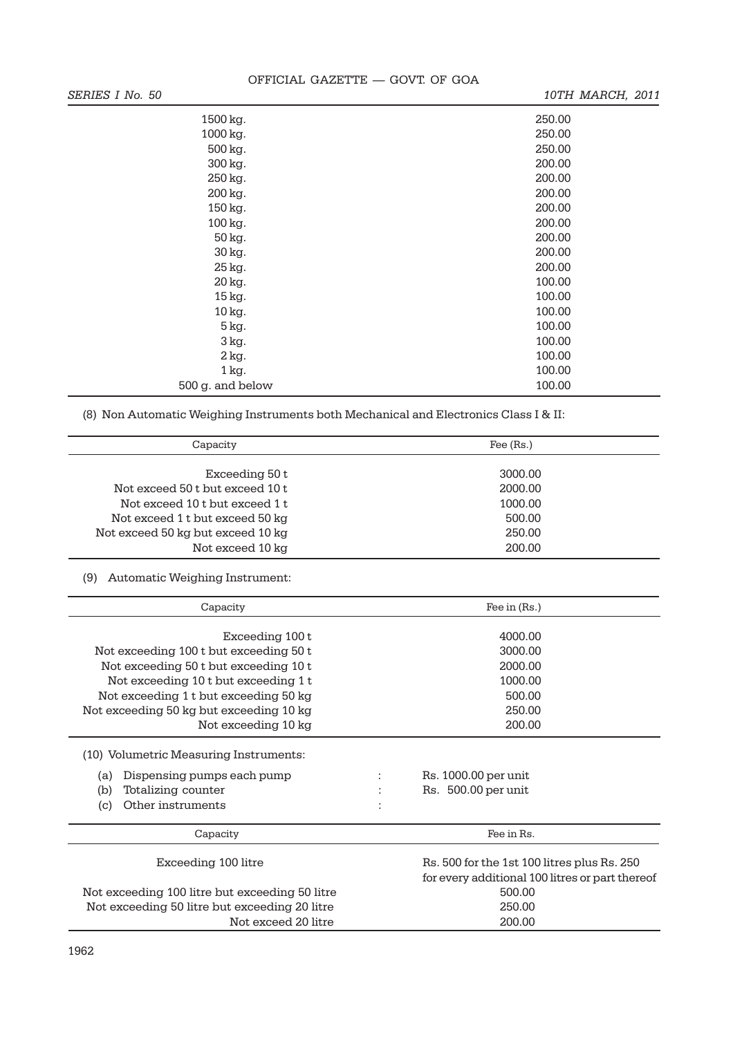| SERIES I No. 50    | 10TH MARCH, 2011 |
|--------------------|------------------|
| 1500 kg.           | 250.00           |
| 1000 kg.           | 250.00           |
| 500 kg.            | 250.00           |
| 300 kg.            | 200.00           |
| 250 kg.            | 200.00           |
| 200 kg.            | 200.00           |
| 150 kg.            | 200.00           |
| 100 kg.            | 200.00           |
| 50 kg.             | 200.00           |
| 30 kg.             | 200.00           |
| 25 kg.             | 200.00           |
| 20 kg.             | 100.00           |
| 15 kg.             | 100.00           |
| 10 kg.             | 100.00           |
| 5 kg.              | 100.00           |
| 3 kg.              | 100.00           |
| $2$ kg.            | 100.00           |
| $1\,\mathrm{kg}$ . | 100.00           |
| 500 g. and below   | 100.00           |

(8) Non Automatic Weighing Instruments both Mechanical and Electronics Class I & II:

| Capacity                                          | Fee $(Rs.)$        |  |  |
|---------------------------------------------------|--------------------|--|--|
| Exceeding 50 t<br>Not exceed 50 t but exceed 10 t | 3000.00<br>2000.00 |  |  |
| Not exceed 10 t but exceed 1 t                    | 1000.00            |  |  |
| Not exceed 1 t but exceed 50 kg                   | 500.00             |  |  |
| Not exceed 50 kg but exceed 10 kg                 | 250.00             |  |  |
| Not exceed 10 kg                                  | 200.00             |  |  |

(9) Automatic Weighing Instrument:

| Capacity                                       |        | Fee in (Rs.)                                    |  |  |
|------------------------------------------------|--------|-------------------------------------------------|--|--|
|                                                |        |                                                 |  |  |
| Exceeding 100 t                                |        | 4000.00                                         |  |  |
| Not exceeding 100 t but exceeding 50 t         |        | 3000.00                                         |  |  |
| Not exceeding 50 t but exceeding 10 t          |        | 2000.00                                         |  |  |
| Not exceeding 10 t but exceeding 1 t           |        | 1000.00                                         |  |  |
| Not exceeding 1 t but exceeding 50 kg          |        | 500.00                                          |  |  |
| Not exceeding 50 kg but exceeding 10 kg        |        | 250.00                                          |  |  |
| Not exceeding 10 kg                            |        | 200,00                                          |  |  |
| (10) Volumetric Measuring Instruments:         |        |                                                 |  |  |
|                                                |        |                                                 |  |  |
| Dispensing pumps each pump<br>(a)              |        | Rs. 1000.00 per unit                            |  |  |
| Totalizing counter<br>(b)                      |        | Rs. 500.00 per unit                             |  |  |
| Other instruments<br>(c)                       |        |                                                 |  |  |
| Capacity                                       |        | Fee in Rs.                                      |  |  |
|                                                |        |                                                 |  |  |
| Exceeding 100 litre                            |        | Rs. 500 for the 1st 100 litres plus Rs. 250     |  |  |
|                                                |        | for every additional 100 litres or part thereof |  |  |
| Not exceeding 100 litre but exceeding 50 litre |        | 500.00                                          |  |  |
| Not exceeding 50 litre but exceeding 20 litre  | 250.00 |                                                 |  |  |
| Not exceed 20 litre                            |        | 200.00                                          |  |  |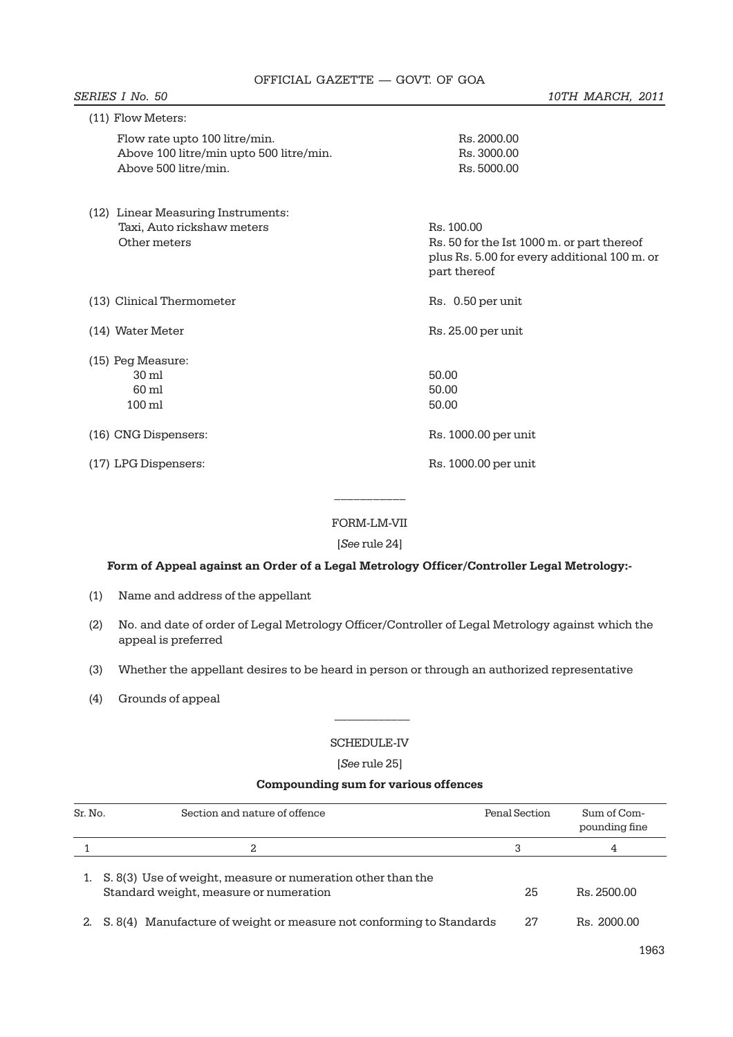| (11) Flow Meters:                                                                                |                                                                                                            |
|--------------------------------------------------------------------------------------------------|------------------------------------------------------------------------------------------------------------|
| Flow rate upto 100 litre/min.<br>Above 100 litre/min upto 500 litre/min.<br>Above 500 litre/min. | Rs. 2000.00<br>Rs. 3000.00<br>Rs. 5000.00                                                                  |
| (12) Linear Measuring Instruments:                                                               |                                                                                                            |
| Taxi, Auto rickshaw meters                                                                       | Rs. 100.00                                                                                                 |
| Other meters                                                                                     | Rs. 50 for the Ist 1000 m. or part thereof<br>plus Rs. 5.00 for every additional 100 m. or<br>part thereof |
| (13) Clinical Thermometer                                                                        | Rs. 0.50 per unit                                                                                          |
| (14) Water Meter                                                                                 | Rs. 25.00 per unit                                                                                         |
| (15) Peg Measure:                                                                                |                                                                                                            |
| $30 \text{ ml}$                                                                                  | 50.00                                                                                                      |
| 60 ml                                                                                            | 50.00                                                                                                      |
| $100 \,\mathrm{ml}$                                                                              | 50.00                                                                                                      |
| (16) CNG Dispensers:                                                                             | Rs. 1000.00 per unit                                                                                       |
| (17) LPG Dispensers:                                                                             | Rs. 1000.00 per unit                                                                                       |

# FORM-LM-VII

[*See* rule 24]

#### **Form of Appeal against an Order of a Legal Metrology Officer/Controller Legal Metrology:-**

- (1) Name and address of the appellant
- (2) No. and date of order of Legal Metrology Officer/Controller of Legal Metrology against which the appeal is preferred
- (3) Whether the appellant desires to be heard in person or through an authorized representative
- (4) Grounds of appeal

#### SCHEDULE-IV

 $\frac{1}{2}$ 

[*See* rule 25]

# **Compounding sum for various offences**

| Sr. No. | Section and nature of offence                                                                         | Penal Section | Sum of Com-<br>pounding fine |
|---------|-------------------------------------------------------------------------------------------------------|---------------|------------------------------|
|         | 2                                                                                                     | 3             | 4                            |
|         | S. 8(3) Use of weight, measure or numeration other than the<br>Standard weight, measure or numeration | 25            | Rs. 2500.00                  |
|         | 2. S. 8(4) Manufacture of weight or measure not conforming to Standards                               | 27            | Rs. 2000.00                  |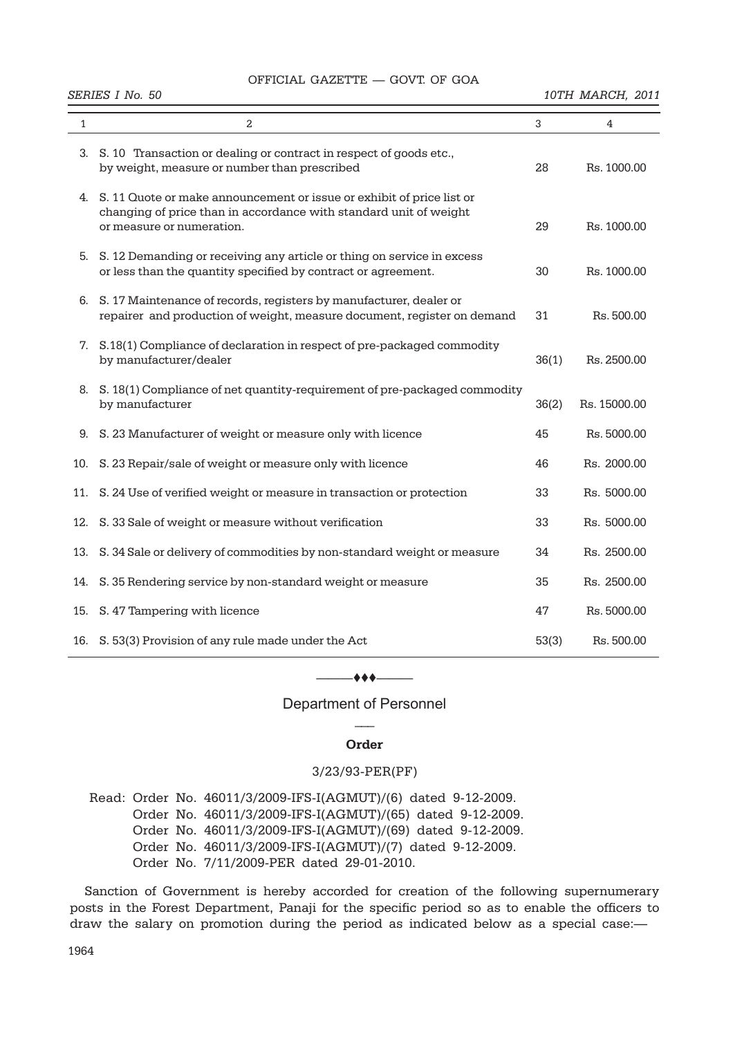#### **SERIES I No. 50** 10TH MARCH, 2011

| $\mathbf{1}$ | $\overline{a}$                                                                                                                                                             | 3     | 4            |
|--------------|----------------------------------------------------------------------------------------------------------------------------------------------------------------------------|-------|--------------|
| 3.           | S. 10 Transaction or dealing or contract in respect of goods etc.,<br>by weight, measure or number than prescribed                                                         | 28    | Rs. 1000.00  |
|              | 4. S. 11 Quote or make announcement or issue or exhibit of price list or<br>changing of price than in accordance with standard unit of weight<br>or measure or numeration. | 29    | Rs. 1000.00  |
|              | 5. S. 12 Demanding or receiving any article or thing on service in excess<br>or less than the quantity specified by contract or agreement.                                 | 30    | Rs. 1000.00  |
|              | 6. S. 17 Maintenance of records, registers by manufacturer, dealer or<br>repairer and production of weight, measure document, register on demand                           | 31    | Rs. 500.00   |
| 7.           | S.18(1) Compliance of declaration in respect of pre-packaged commodity<br>by manufacturer/dealer                                                                           | 36(1) | Rs. 2500.00  |
|              | 8. S. 18(1) Compliance of net quantity-requirement of pre-packaged commodity<br>by manufacturer                                                                            | 36(2) | Rs. 15000.00 |
| 9.           | S. 23 Manufacturer of weight or measure only with licence                                                                                                                  | 45    | Rs. 5000.00  |
| 10.          | S. 23 Repair/sale of weight or measure only with licence                                                                                                                   | 46    | Rs. 2000.00  |
|              | 11. S. 24 Use of verified weight or measure in transaction or protection                                                                                                   | 33    | Rs. 5000.00  |
| 12.          | S. 33 Sale of weight or measure without verification                                                                                                                       | 33    | Rs. 5000.00  |
| 13.          | S. 34 Sale or delivery of commodities by non-standard weight or measure                                                                                                    | 34    | Rs. 2500.00  |
|              | 14. S. 35 Rendering service by non-standard weight or measure                                                                                                              | 35    | Rs. 2500.00  |
|              | 15. S. 47 Tampering with licence                                                                                                                                           | 47    | Rs. 5000.00  |
|              | 16. S. 53(3) Provision of any rule made under the Act                                                                                                                      | 53(3) | Rs. 500.00   |

#### ——————

Department of Personnel  $\overline{\phantom{a}}$ 

#### **Order**

#### 3/23/93-PER(PF)

Read: Order No. 46011/3/2009-IFS-I(AGMUT)/(6) dated 9-12-2009. Order No. 46011/3/2009-IFS-I(AGMUT)/(65) dated 9-12-2009. Order No. 46011/3/2009-IFS-I(AGMUT)/(69) dated 9-12-2009. Order No. 46011/3/2009-IFS-I(AGMUT)/(7) dated 9-12-2009. Order No. 7/11/2009-PER dated 29-01-2010.

Sanction of Government is hereby accorded for creation of the following supernumerary posts in the Forest Department, Panaji for the specific period so as to enable the officers to draw the salary on promotion during the period as indicated below as a special case:—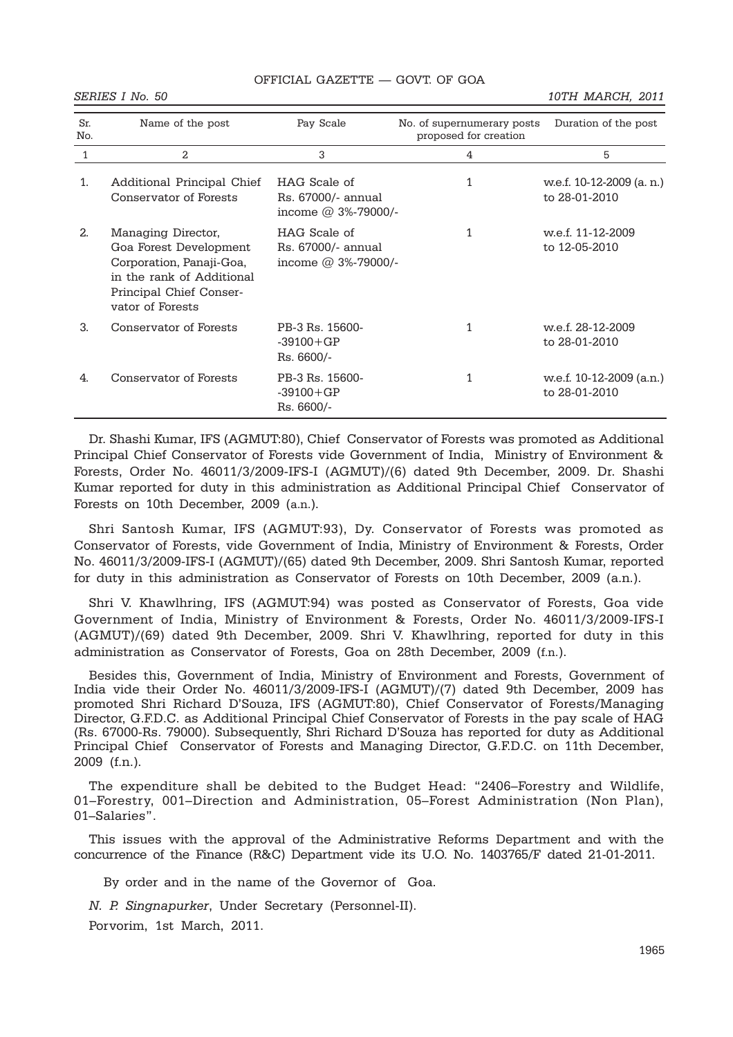#### **SERIES I No. 50** 10TH MARCH, 2011

| Sr.<br>No. | Name of the post                                                                                                                                     | Pay Scale                                                    | No. of supernumerary posts<br>proposed for creation | Duration of the post                       |
|------------|------------------------------------------------------------------------------------------------------------------------------------------------------|--------------------------------------------------------------|-----------------------------------------------------|--------------------------------------------|
| 1          | 2                                                                                                                                                    | 3                                                            | 4                                                   | 5                                          |
| 1.         | Additional Principal Chief<br>Conservator of Forests                                                                                                 | HAG Scale of<br>Rs. 67000/- annual<br>income $@3%-79000/$ -  | 1                                                   | w.e.f. 10-12-2009 (a. n.)<br>to 28-01-2010 |
| 2.         | Managing Director,<br>Goa Forest Development<br>Corporation, Panaji-Goa,<br>in the rank of Additional<br>Principal Chief Conser-<br>vator of Forests | HAG Scale of<br>Rs. 67000/- annual<br>income $@3\% -79000$ . | 1                                                   | w.e.f. 11-12-2009<br>to 12-05-2010         |
| 3.         | Conservator of Forests                                                                                                                               | PB-3 Rs. 15600-<br>$-39100 + GP$<br>Rs. 6600/-               | 1                                                   | we f. 28-12-2009<br>to 28-01-2010          |
| 4.         | Conservator of Forests                                                                                                                               | PB-3 Rs. 15600-<br>$-39100 + GP$<br>Rs. 6600/-               |                                                     | w.e.f. 10-12-2009 (a.n.)<br>to 28-01-2010  |

Dr. Shashi Kumar, IFS (AGMUT:80), Chief Conservator of Forests was promoted as Additional Principal Chief Conservator of Forests vide Government of India, Ministry of Environment & Forests, Order No. 46011/3/2009-IFS-I (AGMUT)/(6) dated 9th December, 2009. Dr. Shashi Kumar reported for duty in this administration as Additional Principal Chief Conservator of Forests on 10th December, 2009 (a.n.).

Shri Santosh Kumar, IFS (AGMUT:93), Dy. Conservator of Forests was promoted as Conservator of Forests, vide Government of India, Ministry of Environment & Forests, Order No. 46011/3/2009-IFS-I (AGMUT)/(65) dated 9th December, 2009. Shri Santosh Kumar, reported for duty in this administration as Conservator of Forests on 10th December, 2009 (a.n.).

Shri V. Khawlhring, IFS (AGMUT:94) was posted as Conservator of Forests, Goa vide Government of India, Ministry of Environment & Forests, Order No. 46011/3/2009-IFS-I (AGMUT)/(69) dated 9th December, 2009. Shri V. Khawlhring, reported for duty in this administration as Conservator of Forests, Goa on 28th December, 2009 (f.n.).

Besides this, Government of India, Ministry of Environment and Forests, Government of India vide their Order No. 46011/3/2009-IFS-I (AGMUT)/(7) dated 9th December, 2009 has promoted Shri Richard D'Souza, IFS (AGMUT:80), Chief Conservator of Forests/Managing Director, G.F.D.C. as Additional Principal Chief Conservator of Forests in the pay scale of HAG (Rs. 67000-Rs. 79000). Subsequently, Shri Richard D'Souza has reported for duty as Additional Principal Chief Conservator of Forests and Managing Director, G.F.D.C. on 11th December, 2009 (f.n.).

The expenditure shall be debited to the Budget Head: "2406–Forestry and Wildlife, 01–Forestry, 001–Direction and Administration, 05–Forest Administration (Non Plan), 01–Salaries".

This issues with the approval of the Administrative Reforms Department and with the concurrence of the Finance (R&C) Department vide its U.O. No. 1403765/F dated 21-01-2011.

By order and in the name of the Governor of Goa.

*N. P. Singnapurker*, Under Secretary (Personnel-II).

Porvorim, 1st March, 2011.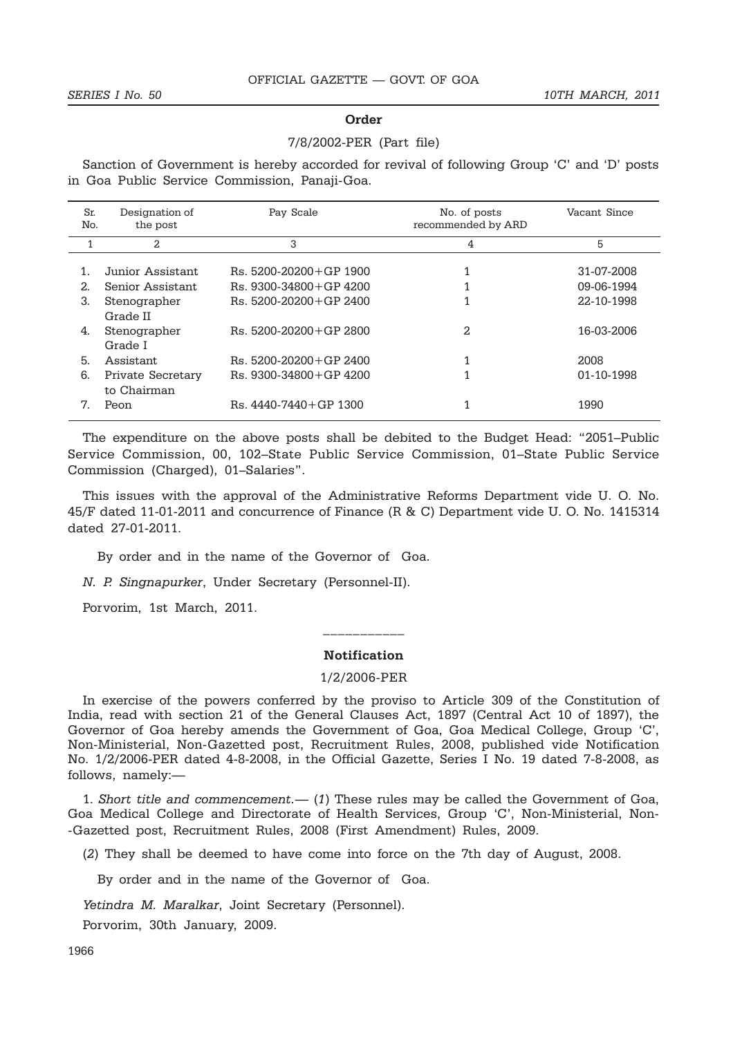#### **Order**

#### 7/8/2002-PER (Part file)

Sanction of Government is hereby accorded for revival of following Group 'C' and 'D' posts in Goa Public Service Commission, Panaji-Goa.

| Sr.<br>No. | Designation of<br>the post       | Pay Scale                    | No. of posts<br>recommended by ARD | Vacant Since |
|------------|----------------------------------|------------------------------|------------------------------------|--------------|
| 1          | 2                                | 3                            | 4                                  | 5            |
|            | Junior Assistant                 | $Rs. 5200 - 20200 + GP 1900$ |                                    | 31-07-2008   |
| 2.         | Senior Assistant                 | $Rs. 9300-34800+GP 4200$     |                                    | 09-06-1994   |
| 3.         | Stenographer<br>Grade II         | $Rs. 5200-20200+GP 2400$     |                                    | 22-10-1998   |
| 4.         | Stenographer<br>Grade I          | $Rs. 5200-20200+GP 2800$     | $\mathfrak{D}$                     | 16-03-2006   |
| 5.         | <b>Assistant</b>                 | $Rs. 5200-20200+GP 2400$     |                                    | 2008         |
| 6.         | Private Secretary<br>to Chairman | $Rs. 9300-34800+GP 4200$     |                                    | 01-10-1998   |
| 7.         | Peon                             | $Rs.4440-7440+GP 1300$       |                                    | 1990         |

The expenditure on the above posts shall be debited to the Budget Head: "2051–Public Service Commission, 00, 102–State Public Service Commission, 01–State Public Service Commission (Charged), 01–Salaries".

This issues with the approval of the Administrative Reforms Department vide U. O. No. 45/F dated 11-01-2011 and concurrence of Finance (R & C) Department vide U. O. No. 1415314 dated 27-01-2011.

By order and in the name of the Governor of Goa.

*N. P. Singnapurker*, Under Secretary (Personnel-II).

Porvorim, 1st March, 2011.

#### **Notification**

\_\_\_\_\_\_\_\_\_\_\_

#### 1/2/2006-PER

In exercise of the powers conferred by the proviso to Article 309 of the Constitution of India, read with section 21 of the General Clauses Act, 1897 (Central Act 10 of 1897), the Governor of Goa hereby amends the Government of Goa, Goa Medical College, Group 'C', Non-Ministerial, Non-Gazetted post, Recruitment Rules, 2008, published vide Notification No. 1/2/2006-PER dated 4-8-2008, in the Official Gazette, Series I No. 19 dated 7-8-2008, as follows, namely:—

1. *Short title and commencement.*— (*1*) These rules may be called the Government of Goa, Goa Medical College and Directorate of Health Services, Group 'C', Non-Ministerial, Non- -Gazetted post, Recruitment Rules, 2008 (First Amendment) Rules, 2009.

(*2*) They shall be deemed to have come into force on the 7th day of August, 2008.

By order and in the name of the Governor of Goa.

*Yetindra M. Maralkar*, Joint Secretary (Personnel).

Porvorim, 30th January, 2009.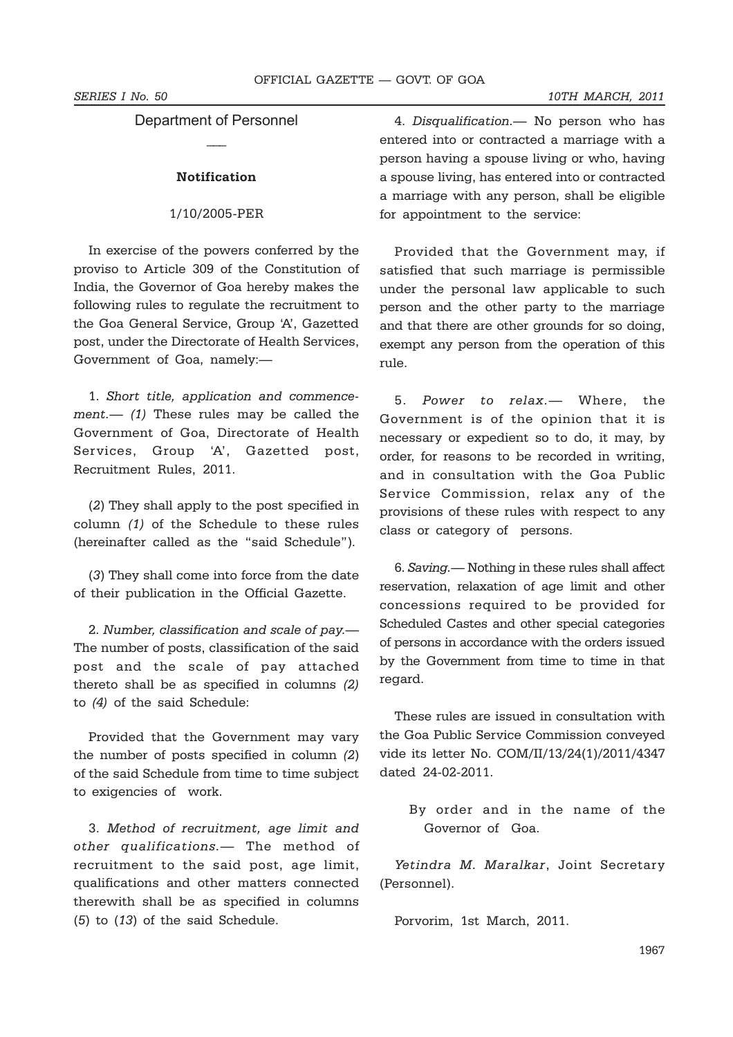**SERIES I No. 50** 10TH MARCH, 2011

# Department of Personnel  $\overline{\phantom{a}}$

#### **Notification**

#### 1/10/2005-PER

In exercise of the powers conferred by the proviso to Article 309 of the Constitution of India, the Governor of Goa hereby makes the following rules to regulate the recruitment to the Goa General Service, Group 'A', Gazetted post, under the Directorate of Health Services, Government of Goa, namely:—

1. *Short title, application and commencement.— (1)* These rules may be called the Government of Goa, Directorate of Health Services, Group 'A', Gazetted post, Recruitment Rules, 2011.

(*2*) They shall apply to the post specified in column *(1)* of the Schedule to these rules (hereinafter called as the "said Schedule").

(*3*) They shall come into force from the date of their publication in the Official Gazette.

2. *Number, classification and scale of pay.—* The number of posts, classification of the said post and the scale of pay attached thereto shall be as specified in columns *(2)* to *(4)* of the said Schedule:

Provided that the Government may vary the number of posts specified in column *(2*) of the said Schedule from time to time subject to exigencies of work.

3. *Method of recruitment, age limit and other qualifications.*— The method of recruitment to the said post, age limit, qualifications and other matters connected therewith shall be as specified in columns (*5*) to (*13*) of the said Schedule.

4. *Disqualification.—* No person who has entered into or contracted a marriage with a person having a spouse living or who, having a spouse living, has entered into or contracted a marriage with any person, shall be eligible for appointment to the service:

Provided that the Government may, if satisfied that such marriage is permissible under the personal law applicable to such person and the other party to the marriage and that there are other grounds for so doing, exempt any person from the operation of this rule.

5. *Power to relax.—* Where, the Government is of the opinion that it is necessary or expedient so to do, it may, by order, for reasons to be recorded in writing, and in consultation with the Goa Public Service Commission, relax any of the provisions of these rules with respect to any class or category of persons.

6. *Saving.*— Nothing in these rules shall affect reservation, relaxation of age limit and other concessions required to be provided for Scheduled Castes and other special categories of persons in accordance with the orders issued by the Government from time to time in that regard.

These rules are issued in consultation with the Goa Public Service Commission conveyed vide its letter No. COM/II/13/24(1)/2011/4347 dated 24-02-2011.

> By order and in the name of the Governor of Goa.

*Yetindra M. Maralkar*, Joint Secretary (Personnel).

Porvorim, 1st March, 2011.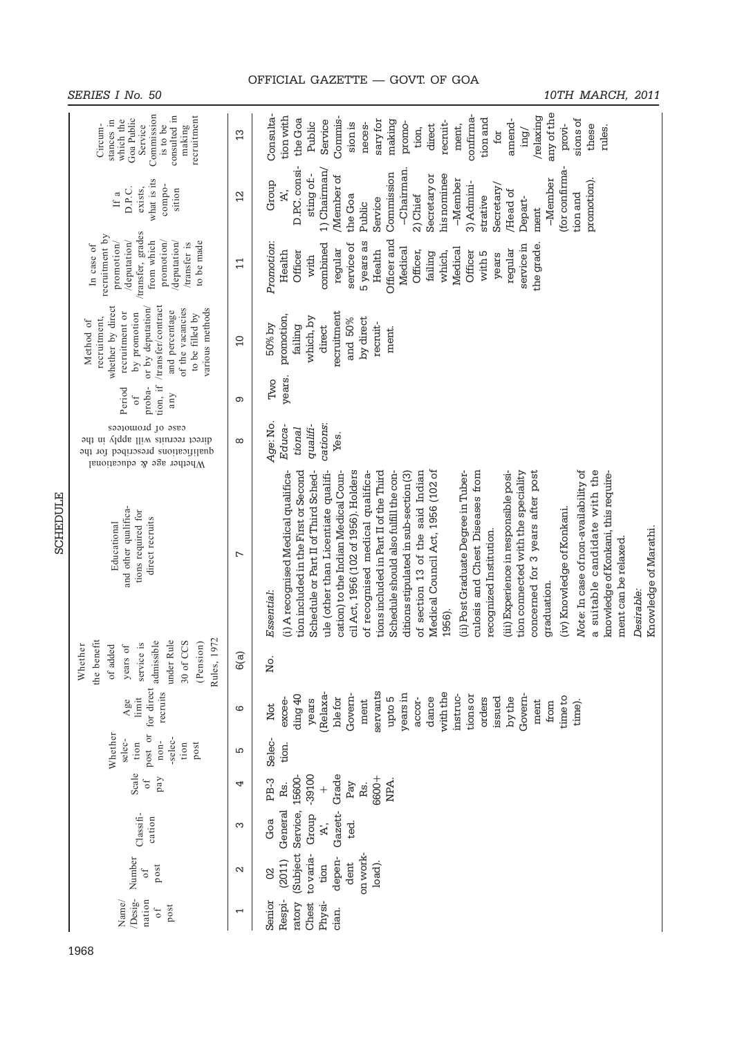| SERIES I | ' No |  |
|----------|------|--|
|          |      |  |

# *SERIES I No. 50 10TH MARCH, 2011*

|                 | Commission<br>consulted in<br>recruitment<br>Goa Public<br>stances in<br>which the<br>Service<br>Circum-<br>is to be<br>making                                                                          | $\frac{3}{2}$            | any of the<br>Consulta-<br>confirma-<br>/relaxing<br>tion with<br>Commis-<br>tion and<br>sions of<br>the Goa<br>sary for<br>amend-<br>Service<br>making<br>recruit-<br>Public<br>sion is<br>promo-<br>neces-<br>ment,<br>provi-<br>direct<br>these<br>rules.<br>tion,<br>\put<br>for                                                                                                                                                                                                                                                                                                                                                                                                                                                                                                                                                                                                                                                                          |
|-----------------|---------------------------------------------------------------------------------------------------------------------------------------------------------------------------------------------------------|--------------------------|---------------------------------------------------------------------------------------------------------------------------------------------------------------------------------------------------------------------------------------------------------------------------------------------------------------------------------------------------------------------------------------------------------------------------------------------------------------------------------------------------------------------------------------------------------------------------------------------------------------------------------------------------------------------------------------------------------------------------------------------------------------------------------------------------------------------------------------------------------------------------------------------------------------------------------------------------------------|
|                 | what is its<br>compo-<br>exists,<br>D.P.C.<br>sition<br>If a                                                                                                                                            | $^{12}$                  | D.P.C. consi-<br>-Chairman.<br>(for confirma-<br>1) Chairman/<br>Commission<br>sting of:-<br>his nominee<br>Secretary or<br>/Member of<br>$-M$ ember<br>$-M$ ember<br>promotion).<br>Group<br>3) Admini-<br>Secretary<br>Ä.<br>Head of<br>tion and<br>2) Chief<br>the Goa<br>strative<br>Depart-<br>Service<br>Public<br>ment                                                                                                                                                                                                                                                                                                                                                                                                                                                                                                                                                                                                                                 |
|                 | /transfer, grades<br>recruitment by<br>/deputation/<br>from which<br>promotion/<br>/deputation/<br>to be made<br>promotion/<br>/transfer is<br>In case of                                               | $\mathbf{1}$             | Officer and<br>Promotion:<br>5 years as<br>combined<br>service of<br>the grade.<br>service in<br>Medical<br>Medical<br>regular<br>regular<br>Health<br>Health<br>Officer,<br>Officer<br>Officer<br>with 5<br>failing<br>which,<br>years<br>with                                                                                                                                                                                                                                                                                                                                                                                                                                                                                                                                                                                                                                                                                                               |
|                 | whether by direct<br>/transfer/contract<br>or by deputation/<br>of the vacancies<br>various methods<br>and percentage<br>recruitment or<br>by promotion<br>to be filled by<br>recruitment,<br>Method of | $\overline{0}$           | recruitment<br>promotion,<br>which, by<br>by direct<br>and 50%<br>recruit-<br>failing<br>50% by<br>direct<br>ment.                                                                                                                                                                                                                                                                                                                                                                                                                                                                                                                                                                                                                                                                                                                                                                                                                                            |
|                 | tion, if<br>proba-<br>Period<br>any<br>$\circ$ f                                                                                                                                                        | တ                        | years.<br>Two                                                                                                                                                                                                                                                                                                                                                                                                                                                                                                                                                                                                                                                                                                                                                                                                                                                                                                                                                 |
|                 | case of promotees<br>recruits will apply in the<br>paquosaid<br>guoitachilaup<br>4Ų.<br>101<br>Whether age & educational                                                                                | $\infty$                 | Age: No.<br>cations:<br>Educa-<br>qualifi-<br>tional<br>Yes.                                                                                                                                                                                                                                                                                                                                                                                                                                                                                                                                                                                                                                                                                                                                                                                                                                                                                                  |
| <b>SCHEDULE</b> | and other qualifica-<br>tions required for<br>direct recruits<br>Educational                                                                                                                            | L                        | Medical Council Act, 1956 (102 of<br>a suitable candidate with the<br>tion included in the First or Second<br>of section 13 of the said Indian<br>concerned for 3 years after post<br>Note: In case of non-availability of<br>(i) A recognised Medical qualifica-<br>Schedule or Part II of Third Sched-<br>ule (other than Licentiate qualifi-<br>cation) to the Indian Medical Coun-<br>cil Act, 1956 (102 of 1956). Holders<br>tions included in Part II of the Third<br>Schedule should also fulfill the con-<br>(ii) Post Graduate Degree in Tuber-<br>culosis and Chest Diseases from<br>(iii) Experience in responsible posi-<br>of recognised medical qualifica-<br>ditions stipulated in sub-section (3)<br>tion connected with the speciality<br>knowledge of Konkani, this require-<br>(iv) Knowledge of Konkani.<br>Knowledge of Marathi.<br>recognized Institution.<br>ment can be relaxed.<br>graduation.<br>Desirable:<br>Essential:<br>1956). |
|                 | Rules, 1972<br>the benefit<br>admissible<br>under Rule<br>30 of CCS<br>(Pension)<br>service is<br>Whether<br>years of<br>of added                                                                       | 6(a)                     | No.                                                                                                                                                                                                                                                                                                                                                                                                                                                                                                                                                                                                                                                                                                                                                                                                                                                                                                                                                           |
|                 | for direct<br>recruits<br>limit<br>Age                                                                                                                                                                  | ဖ                        | servants<br>with the<br>(Relaxa-<br>years in<br>Govem-<br>ding 40<br>instruc-<br>tions or<br>Govem-<br>time to<br>upto 5<br>dance<br>ble for<br>orders<br>issued<br>accor-<br>by the<br>excee-<br>years<br>ment<br>ment<br>time).<br>from<br>Not                                                                                                                                                                                                                                                                                                                                                                                                                                                                                                                                                                                                                                                                                                              |
|                 | post or<br>Whether<br>-selec-<br>selec-<br>$n$ on-<br>tion<br>tion<br>post                                                                                                                              | S                        | Selec-<br>tion.                                                                                                                                                                                                                                                                                                                                                                                                                                                                                                                                                                                                                                                                                                                                                                                                                                                                                                                                               |
|                 | Scale<br>pay<br>$\overline{\phantom{a}}$                                                                                                                                                                | 4                        | Grade<br>-39100<br>15600-<br>6600+<br>PB-3<br>NPA.<br>Pay<br>Rs.<br>Rs.<br>$^{+}$                                                                                                                                                                                                                                                                                                                                                                                                                                                                                                                                                                                                                                                                                                                                                                                                                                                                             |
|                 | Classifi-<br>cation                                                                                                                                                                                     | က                        | General<br>Service,<br>Gazett-<br>Group<br>Goa<br>ted.<br>$\mathbb{R}$                                                                                                                                                                                                                                                                                                                                                                                                                                                                                                                                                                                                                                                                                                                                                                                                                                                                                        |
|                 | Number<br>post<br>$\circ$ f                                                                                                                                                                             | $\mathbf{\sim}$          | (Subject<br>to varia-<br>on work-<br>depen-<br>(2011)<br>load).<br>dent<br>tion<br>8                                                                                                                                                                                                                                                                                                                                                                                                                                                                                                                                                                                                                                                                                                                                                                                                                                                                          |
|                 | Desig-<br>Name/<br>nation<br>post<br>0f                                                                                                                                                                 | $\overline{\phantom{0}}$ | Respi-<br>Senior<br>Chest<br>ratory<br>Physi-<br>cian.                                                                                                                                                                                                                                                                                                                                                                                                                                                                                                                                                                                                                                                                                                                                                                                                                                                                                                        |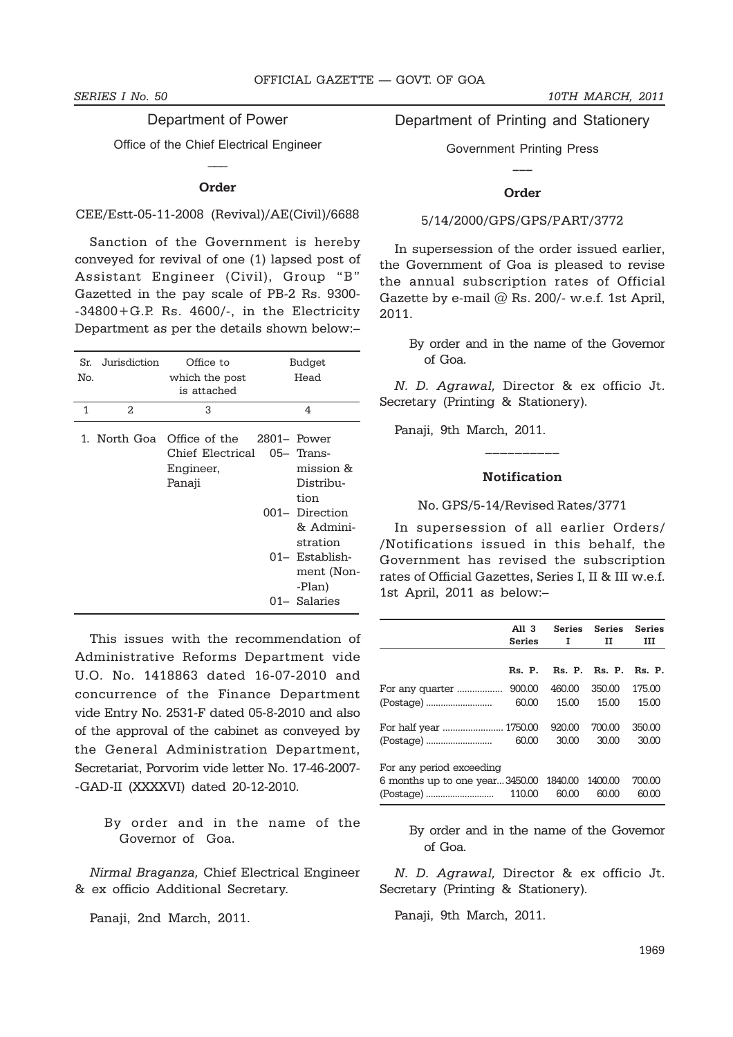Department of Power

Office of the Chief Electrical Engineer  $\overline{\phantom{a}}$ 

#### **Order**

### CEE/Estt-05-11-2008 (Revival)/AE(Civil)/6688

Sanction of the Government is hereby conveyed for revival of one (1) lapsed post of Assistant Engineer (Civil), Group "B" Gazetted in the pay scale of PB-2 Rs. 9300- -34800+G.P. Rs. 4600/-, in the Electricity Department as per the details shown below:–

| Sr.<br>No. | Jurisdiction  | Office to<br>which the post<br>is attached                           | Budget<br>Head                                                                                                                                         |
|------------|---------------|----------------------------------------------------------------------|--------------------------------------------------------------------------------------------------------------------------------------------------------|
| 1          | $\mathcal{L}$ | 3                                                                    | 4                                                                                                                                                      |
|            | 1. North Goa  | Office of the 2801– Power<br>Chief Electrical<br>Engineer,<br>Panaji | $05-$ Trans-<br>mission &<br>Distribu-<br>tion<br>001- Direction<br>& Admini-<br>stration<br>$01 -$ Establish-<br>ment (Non-<br>-Plan)<br>01- Salaries |

This issues with the recommendation of Administrative Reforms Department vide U.O. No. 1418863 dated 16-07-2010 and concurrence of the Finance Department vide Entry No. 2531-F dated 05-8-2010 and also of the approval of the cabinet as conveyed by the General Administration Department, Secretariat, Porvorim vide letter No. 17-46-2007- -GAD-II (XXXXVI) dated 20-12-2010.

> By order and in the name of the Governor of Goa.

*Nirmal Braganza,* Chief Electrical Engineer & ex officio Additional Secretary.

Panaji, 2nd March, 2011.

# Department of Printing and Stationery

Government Printing Press **\_\_\_**

#### **Order**

#### 5/14/2000/GPS/GPS/PART/3772

In supersession of the order issued earlier, the Government of Goa is pleased to revise the annual subscription rates of Official Gazette by e-mail @ Rs. 200/- w.e.f. 1st April, 2011.

By order and in the name of the Governor of Goa.

*N. D. Agrawal,* Director & ex officio Jt. Secretary (Printing & Stationery).

Panaji, 9th March, 2011.

### **Notification**

**\_\_\_\_\_\_\_\_\_\_**

No. GPS/5-14/Revised Rates/3771

In supersession of all earlier Orders/ /Notifications issued in this behalf, the Government has revised the subscription rates of Official Gazettes, Series I, II & III w.e.f. 1st April, 2011 as below:–

|                                                | All 3<br>Series | $\mathbf{I}$         | Series Series<br>п | <b>Series</b><br>ш |
|------------------------------------------------|-----------------|----------------------|--------------------|--------------------|
|                                                |                 |                      |                    |                    |
|                                                |                 | Rs. P. Rs. P. Rs. P. |                    | Rs. P.             |
| For any quarter                                | 900,00          | 460.00               | 350.00             | 175.00             |
|                                                | 60.00           | 15.00                | 15.00              | 15.00              |
| For half year  1750.00                         |                 | 920,00               | 700.00             | 350.00             |
|                                                |                 | 30.00                | 30.00              | 30.00              |
| For any period exceeding                       |                 |                      |                    |                    |
| 6 months up to one year3450.00 1840.00 1400.00 |                 |                      |                    | 700.00             |
|                                                |                 | 60,00                | 60.00              | 60.00              |

By order and in the name of the Governor of Goa.

*N. D. Agrawal,* Director & ex officio Jt. Secretary (Printing & Stationery).

Panaji, 9th March, 2011.